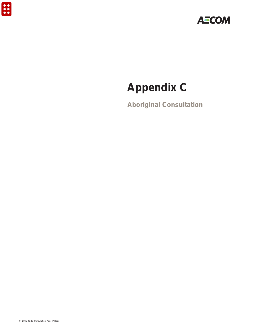

# **Appendix C**

**Aboriginal Consultation**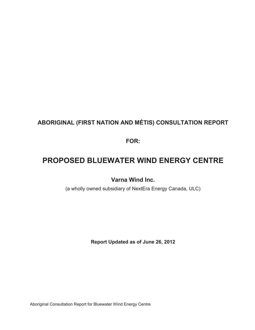### **ABORIGINAL (FIRST NATION AND MÉTIS) CONSULTATION REPORT**

**FOR:** 

## **PROPOSED BLUEWATER WIND ENERGY CENTRE**

**Varna Wind Inc.** 

(a wholly owned subsidiary of NextEra Energy Canada, ULC)

**Report Updated as of June 26, 2012** 

Aboriginal Consultation Report for Bluewater Wind Energy Centre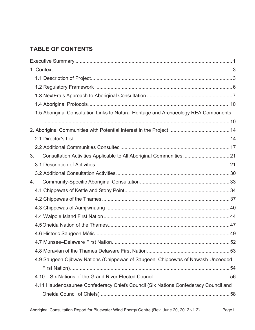### **TABLE OF CONTENTS**

| 1.5 Aboriginal Consultation Links to Natural Heritage and Archaeology REA Components   |  |
|----------------------------------------------------------------------------------------|--|
|                                                                                        |  |
|                                                                                        |  |
|                                                                                        |  |
|                                                                                        |  |
| 3 <sub>1</sub><br>Consultation Activities Applicable to All Aboriginal Communities  21 |  |
|                                                                                        |  |
|                                                                                        |  |
| 4.                                                                                     |  |
|                                                                                        |  |
|                                                                                        |  |
|                                                                                        |  |
|                                                                                        |  |
|                                                                                        |  |
|                                                                                        |  |
|                                                                                        |  |
|                                                                                        |  |
| 4.9 Saugeen Ojibway Nations (Chippewas of Saugeen, Chippewas of Nawash Unceeded        |  |
|                                                                                        |  |
| 4.10                                                                                   |  |
| 4.11 Haudenosaunee Confederacy Chiefs Council (Six Nations Confederacy Council and     |  |
|                                                                                        |  |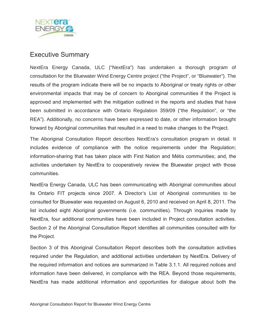

### Executive Summary

NextEra Energy Canada, ULC ("NextEra") has undertaken a thorough program of consultation for the Bluewater Wind Energy Centre project ("the Project", or "Bluewater"). The results of the program indicate there will be no impacts to Aboriginal or treaty rights or other environmental impacts that may be of concern to Aboriginal communities if the Project is approved and implemented with the mitigation outlined in the reports and studies that have been submitted in accordance with Ontario Regulation 359/09 ("the Regulation", or "the REA"). Additionally, no concerns have been expressed to date, or other information brought forward by Aboriginal communities that resulted in a need to make changes to the Project.

The Aboriginal Consultation Report describes NextEra's consultation program in detail. It includes evidence of compliance with the notice requirements under the Regulation; information-sharing that has taken place with First Nation and Métis communities; and, the activities undertaken by NextEra to cooperatively review the Bluewater project with those communities.

NextEra Energy Canada, ULC has been communicating with Aboriginal communities about its Ontario FIT projects since 2007. A Director's List of Aboriginal communities to be consulted for Bluewater was requested on August 6, 2010 and received on April 8, 2011. The list included eight Aboriginal governments (i.e. communities). Through inquiries made by NextEra, four additional communities have been included in Project consultation activities. Section 2 of the Aboriginal Consultation Report identifies all communities consulted with for the Project.

Section 3 of this Aboriginal Consultation Report describes both the consultation activities required under the Regulation, and additional activities undertaken by NextEra. Delivery of the required information and notices are summarized in Table 3.1.1. All required notices and information have been delivered, in compliance with the REA. Beyond those requirements, NextEra has made additional information and opportunities for dialogue about both the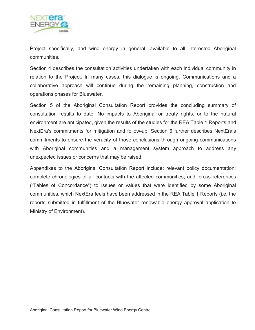

Project specifically, and wind energy in general, available to all interested Aboriginal communities.

Section 4 describes the consultation activities undertaken with each individual community in relation to the Project. In many cases, this dialogue is ongoing. Communications and a collaborative approach will continue during the remaining planning, construction and operations phases for Bluewater.

Section 5 of the Aboriginal Consultation Report provides the concluding summary of consultation results to date. No impacts to Aboriginal or treaty rights, or to the natural environment are anticipated, given the results of the studies for the REA Table 1 Reports and NextEra's commitments for mitigation and follow-up. Section 6 further describes NextEra's commitments to ensure the veracity of those conclusions through ongoing communications with Aboriginal communities and a management system approach to address any unexpected issues or concerns that may be raised.

Appendixes to the Aboriginal Consultation Report include: relevant policy documentation; complete chronologies of all contacts with the affected communities; and, cross-references ("Tables of Concordance") to issues or values that were identified by some Aboriginal communities, which NextEra feels have been addressed in the REA Table 1 Reports (i.e. the reports submitted in fulfillment of the Bluewater renewable energy approval application to Ministry of Environment).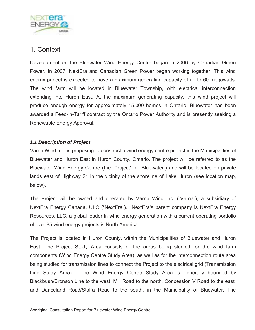

### 1. Context

Development on the Bluewater Wind Energy Centre began in 2006 by Canadian Green Power. In 2007, NextEra and Canadian Green Power began working together. This wind energy project is expected to have a maximum generating capacity of up to 60 megawatts. The wind farm will be located in Bluewater Township, with electrical interconnection extending into Huron East. At the maximum generating capacity, this wind project will produce enough energy for approximately 15,000 homes in Ontario. Bluewater has been awarded a Feed-in-Tariff contract by the Ontario Power Authority and is presently seeking a Renewable Energy Approval.

### *1.1 Description of Project*

Varna Wind Inc. is proposing to construct a wind energy centre project in the Municipalities of Bluewater and Huron East in Huron County, Ontario. The project will be referred to as the Bluewater Wind Energy Centre (the "Project" or "Bluewater") and will be located on private lands east of Highway 21 in the vicinity of the shoreline of Lake Huron (see location map, below).

The Project will be owned and operated by Varna Wind Inc. ("Varna"), a subsidiary of NextEra Energy Canada, ULC ("NextEra"). NextEra's parent company is NextEra Energy Resources, LLC, a global leader in wind energy generation with a current operating portfolio of over 85 wind energy projects is North America.

The Project is located in Huron County, within the Municipalities of Bluewater and Huron East. The Project Study Area consists of the areas being studied for the wind farm components (Wind Energy Centre Study Area), as well as for the interconnection route area being studied for transmission lines to connect the Project to the electrical grid (Transmission Line Study Area). The Wind Energy Centre Study Area is generally bounded by Blackbush/Bronson Line to the west, Mill Road to the north, Concession V Road to the east, and Danceland Road/Staffa Road to the south, in the Municipality of Bluewater. The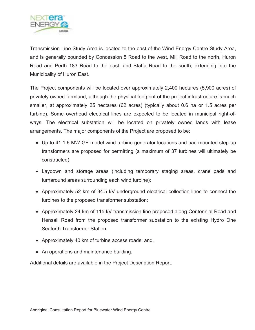

Transmission Line Study Area is located to the east of the Wind Energy Centre Study Area, and is generally bounded by Concession 5 Road to the west, Mill Road to the north, Huron Road and Perth 183 Road to the east, and Staffa Road to the south, extending into the Municipality of Huron East.

The Project components will be located over approximately 2,400 hectares (5,900 acres) of privately owned farmland, although the physical footprint of the project infrastructure is much smaller, at approximately 25 hectares (62 acres) (typically about 0.6 ha or 1.5 acres per turbine). Some overhead electrical lines are expected to be located in municipal right-ofways. The electrical substation will be located on privately owned lands with lease arrangements. The major components of the Project are proposed to be:

- Up to 41 1.6 MW GE model wind turbine generator locations and pad mounted step-up transformers are proposed for permitting (a maximum of 37 turbines will ultimately be constructed);
- Laydown and storage areas (including temporary staging areas, crane pads and turnaround areas surrounding each wind turbine);
- Approximately 52 km of 34.5 kV underground electrical collection lines to connect the turbines to the proposed transformer substation;
- Approximately 24 km of 115 kV transmission line proposed along Centennial Road and Hensall Road from the proposed transformer substation to the existing Hydro One Seaforth Transformer Station;
- Approximately 40 km of turbine access roads; and,
- An operations and maintenance building.

Additional details are available in the Project Description Report.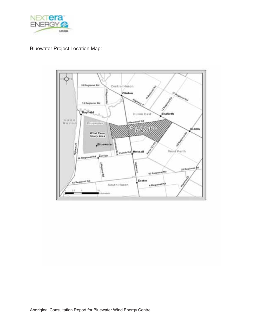

### Bluewater Project Location Map:

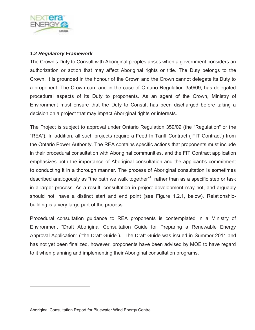

### *1.2 Regulatory Framework*

The Crown's Duty to Consult with Aboriginal peoples arises when a government considers an authorization or action that may affect Aboriginal rights or title. The Duty belongs to the Crown. It is grounded in the honour of the Crown and the Crown cannot delegate its Duty to a proponent. The Crown can, and in the case of Ontario Regulation 359/09, has delegated procedural aspects of its Duty to proponents. As an agent of the Crown, Ministry of Environment must ensure that the Duty to Consult has been discharged before taking a decision on a project that may impact Aboriginal rights or interests.

The Project is subject to approval under Ontario Regulation 359/09 (the "Regulation" or the "REA"). In addition, all such projects require a Feed In Tariff Contract ("FIT Contract") from the Ontario Power Authority. The REA contains specific actions that proponents must include in their procedural consultation with Aboriginal communities, and the FIT Contract application emphasizes both the importance of Aboriginal consultation and the applicant's commitment to conducting it in a thorough manner. The process of Aboriginal consultation is sometimes described analogously as "the path we walk together"<sup>1</sup>, rather than as a specific step or task in a larger process. As a result, consultation in project development may not, and arguably should not, have a distinct start and end point (see Figure 1.2.1, below). Relationshipbuilding is a very large part of the process.

Procedural consultation guidance to REA proponents is contemplated in a Ministry of Environment "Draft Aboriginal Consultation Guide for Preparing a Renewable Energy Approval Application" ("the Draft Guide"). The Draft Guide was issued in Summer 2011 and has not yet been finalized, however, proponents have been advised by MOE to have regard to it when planning and implementing their Aboriginal consultation programs.

 $\overline{a}$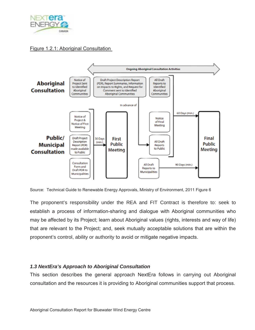

### Figure 1.2.1: Aboriginal Consultation



Source: Technical Guide to Renewable Energy Approvals, Ministry of Environment, 2011 Figure 6

The proponent's responsibility under the REA and FIT Contract is therefore to: seek to establish a process of information-sharing and dialogue with Aboriginal communities who may be affected by its Project; learn about Aboriginal values (rights, interests and way of life) that are relevant to the Project; and, seek mutually acceptable solutions that are within the proponent's control, ability or authority to avoid or mitigate negative impacts.

### *1.3 NextEra's Approach to Aboriginal Consultation*

This section describes the general approach NextEra follows in carrying out Aboriginal consultation and the resources it is providing to Aboriginal communities support that process.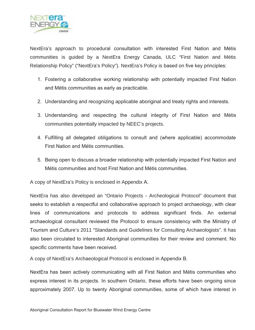

NextEra's approach to procedural consultation with interested First Nation and Métis communities is guided by a NextEra Energy Canada, ULC "First Nation and Métis Relationship Policy" ("NextEra's Policy"). NextEra's Policy is based on five key principles:

- 1. Fostering a collaborative working relationship with potentially impacted First Nation and Métis communities as early as practicable.
- 2. Understanding and recognizing applicable aboriginal and treaty rights and interests.
- 3. Understanding and respecting the cultural integrity of First Nation and Métis communities potentially impacted by NEEC's projects.
- 4. Fulfilling all delegated obligations to consult and (where applicable) accommodate First Nation and Métis communities.
- 5. Being open to discuss a broader relationship with potentially impacted First Nation and Métis communities and host First Nation and Métis communities.

A copy of NextEra's Policy is enclosed in Appendix A.

NextEra has also developed an "Ontario Projects - Archeological Protocol" document that seeks to establish a respectful and collaborative approach to project archaeology, with clear lines of communications and protocols to address significant finds. An external archaeological consultant reviewed the Protocol to ensure consistency with the Ministry of Tourism and Culture's 2011 "Standards and Guidelines for Consulting Archaeologists". It has also been circulated to interested Aboriginal communities for their review and comment. No specific comments have been received.

A copy of NextEra's Archaeological Protocol is enclosed in Appendix B.

NextEra has been actively communicating with all First Nation and Métis communities who express interest in its projects. In southern Ontario, these efforts have been ongoing since approximately 2007. Up to twenty Aboriginal communities, some of which have interest in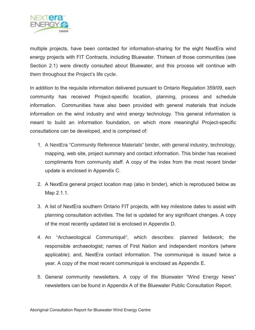

multiple projects, have been contacted for information-sharing for the eight NextEra wind energy projects with FIT Contracts, including Bluewater. Thirteen of those communities (see Section 2.1) were directly consulted about Bluewater, and this process will continue with them throughout the Project's life cycle.

In addition to the requisite information delivered pursuant to Ontario Regulation 359/09, each community has received Project-specific location, planning, process and schedule information. Communities have also been provided with general materials that include information on the wind industry and wind energy technology. This general information is meant to build an information foundation, on which more meaningful Project-specific consultations can be developed, and is comprised of:

- 1. A NextEra "Community Reference Materials" binder, with general industry, technology, mapping, web site, project summary and contact information. This binder has received compliments from community staff. A copy of the index from the most recent binder update is enclosed in Appendix C.
- 2. A NextEra general project location map (also in binder), which is reproduced below as Map 2.1.1.
- 3. A list of NextEra southern Ontario FIT projects, with key milestone dates to assist with planning consultation activities. The list is updated for any significant changes. A copy of the most recently updated list is enclosed in Appendix D.
- 4. An "Archaeological Communiqué", which describes: planned fieldwork; the responsible archaeologist; names of First Nation and independent monitors (where applicable); and, NextEra contact information. The communiqué is issued twice a year. A copy of the most recent communiqué is enclosed as Appendix E.
- 5. General community newsletters. A copy of the Bluewater "Wind Energy News" newsletters can be found in Appendix A of the Bluewater Public Consultation Report.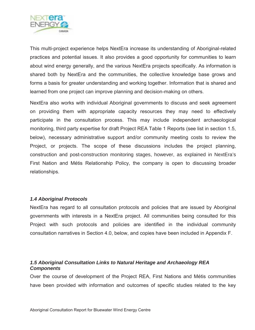

This multi-project experience helps NextEra increase its understanding of Aboriginal-related practices and potential issues. It also provides a good opportunity for communities to learn about wind energy generally, and the various NextEra projects specifically. As information is shared both by NextEra and the communities, the collective knowledge base grows and forms a basis for greater understanding and working together. Information that is shared and learned from one project can improve planning and decision-making on others.

NextEra also works with individual Aboriginal governments to discuss and seek agreement on providing them with appropriate capacity resources they may need to effectively participate in the consultation process. This may include independent archaeological monitoring, third party expertise for draft Project REA Table 1 Reports (see list in section 1.5, below), necessary administrative support and/or community meeting costs to review the Project, or projects. The scope of these discussions includes the project planning, construction and post-construction monitoring stages, however, as explained in NextEra's First Nation and Métis Relationship Policy, the company is open to discussing broader relationships.

### *1.4 Aboriginal Protocols*

NextEra has regard to all consultation protocols and policies that are issued by Aboriginal governments with interests in a NextEra project. All communities being consulted for this Project with such protocols and policies are identified in the individual community consultation narratives in Section 4.0, below, and copies have been included in Appendix F.

### *1.5 Aboriginal Consultation Links to Natural Heritage and Archaeology REA Components*

Over the course of development of the Project REA, First Nations and Métis communities have been provided with information and outcomes of specific studies related to the key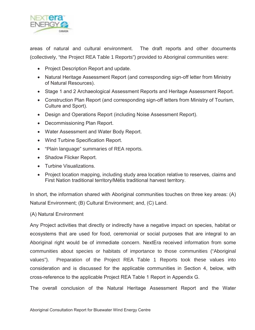

areas of natural and cultural environment. The draft reports and other documents (collectively, "the Project REA Table 1 Reports") provided to Aboriginal communities were:

- Project Description Report and update.
- Natural Heritage Assessment Report (and corresponding sign-off letter from Ministry of Natural Resources).
- Stage 1 and 2 Archaeological Assessment Reports and Heritage Assessment Report.
- Construction Plan Report (and corresponding sign-off letters from Ministry of Tourism, Culture and Sport).
- Design and Operations Report (including Noise Assessment Report).
- Decommissioning Plan Report.
- Water Assessment and Water Body Report.
- Wind Turbine Specification Report.
- "Plain language" summaries of REA reports.
- Shadow Flicker Report.
- Turbine Visualizations.
- Project location mapping, including study area location relative to reserves, claims and First Nation traditional territory/Métis traditional harvest territory.

In short, the information shared with Aboriginal communities touches on three key areas: (A) Natural Environment; (B) Cultural Environment; and, (C) Land.

### (A) Natural Environment

Any Project activities that directly or indirectly have a negative impact on species, habitat or ecosystems that are used for food, ceremonial or social purposes that are integral to an Aboriginal right would be of immediate concern. NextEra received information from some communities about species or habitats of importance to those communities ("Aboriginal values"). Preparation of the Project REA Table 1 Reports took these values into consideration and is discussed for the applicable communities in Section 4, below, with cross-reference to the applicable Project REA Table 1 Report in Appendix G.

The overall conclusion of the Natural Heritage Assessment Report and the Water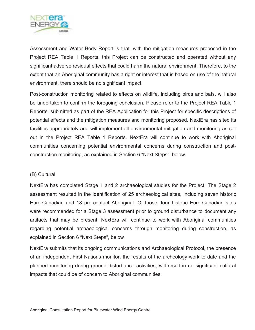

Assessment and Water Body Report is that, with the mitigation measures proposed in the Project REA Table 1 Reports, this Project can be constructed and operated without any significant adverse residual effects that could harm the natural environment. Therefore, to the extent that an Aboriginal community has a right or interest that is based on use of the natural environment, there should be no significant impact.

Post-construction monitoring related to effects on wildlife, including birds and bats, will also be undertaken to confirm the foregoing conclusion. Please refer to the Project REA Table 1 Reports, submitted as part of the REA Application for this Project for specific descriptions of potential effects and the mitigation measures and monitoring proposed. NextEra has sited its facilities appropriately and will implement all environmental mitigation and monitoring as set out in the Project REA Table 1 Reports. NextEra will continue to work with Aboriginal communities concerning potential environmental concerns during construction and postconstruction monitoring, as explained in Section 6 "Next Steps", below.

### (B) Cultural

NextEra has completed Stage 1 and 2 archaeological studies for the Project. The Stage 2 assessment resulted in the identification of 25 archaeological sites, including seven historic Euro-Canadian and 18 pre-contact Aboriginal. Of those, four historic Euro-Canadian sites were recommended for a Stage 3 assessment prior to ground disturbance to document any artifacts that may be present. NextEra will continue to work with Aboriginal communities regarding potential archaeological concerns through monitoring during construction, as explained in Section 6 "Next Steps", below

NextEra submits that its ongoing communications and Archaeological Protocol, the presence of an independent First Nations monitor, the results of the archeology work to date and the planned monitoring during ground disturbance activities, will result in no significant cultural impacts that could be of concern to Aboriginal communities.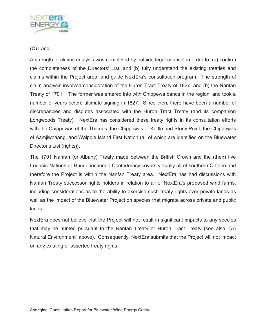

### (C) Land

A strength of claims analysis was completed by outside legal counsel in order to: (a) confirm the completeness of the Directors' List; and (b) fully understand the existing treaties and claims within the Project area, and guide NextEra's consultation program. The strength of claim analysis involved consideration of the Huron Tract Treaty of 1827; and (b) the Nanfan Treaty of 1701. The former was entered into with Chippewa bands in the region, and took a number of years before ultimate signing in 1827. Since then, there have been a number of discrepancies and disputes associated with the Huron Tract Treaty (and its companion Longwoods Treaty). NextEra has considered these treaty rights in its consultation efforts with the Chippewas of the Thames, the Chippewas of Kettle and Stony Point, the Chippewas of Aamjiwnaang, and Walpole Island First Nation (all of which are identified on the Bluewater Director's List (rights)).

The 1701 Nanfan (or Albany) Treaty made between the British Crown and the (then) five Iroquois Nations or Haudenosaunee Confederacy covers virtually all of southern Ontario and therefore the Project is within the Nanfan Treaty area. NextEra has had discussions with Nanfan Treaty successor rights holders in relation to all of NextEra's proposed wind farms, including considerations as to the ability to exercise such treaty rights over private lands as well as the impact of the Bluewater Project on species that migrate across private and public lands.

NextEra does not believe that the Project will not result in significant impacts to any species that may be hunted pursuant to the Nanfan Treaty or Huron Tract Treaty (see also "(A) Natural Environment" above). Consequently, NextEra submits that the Project will not impact on any existing or asserted treaty rights.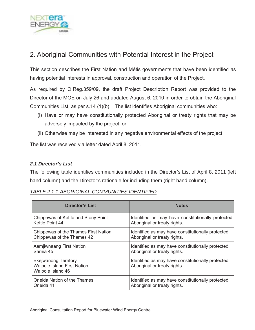

### 2. Aboriginal Communities with Potential Interest in the Project

This section describes the First Nation and Métis governments that have been identified as having potential interests in approval, construction and operation of the Project.

As required by O.Reg.359/09, the draft Project Description Report was provided to the Director of the MOE on July 26 and updated August 6, 2010 in order to obtain the Aboriginal Communities List, as per s.14 (1)(b). The list identifies Aboriginal communities who:

- (i) Have or may have constitutionally protected Aboriginal or treaty rights that may be adversely impacted by the project, or
- (ii) Otherwise may be interested in any negative environmental effects of the project.

The list was received via letter dated April 8, 2011.

### *2.1 Director's List*

The following table identifies communities included in the Director's List of April 8, 2011 (left hand column) and the Director's rationale for including them (right hand column).

| <b>Director's List</b>                                                                 | <b>Notes</b>                                                                      |
|----------------------------------------------------------------------------------------|-----------------------------------------------------------------------------------|
| Chippewas of Kettle and Stony Point                                                    | Identified as may have constitutionally protected                                 |
| Kettle Point 44                                                                        | Aboriginal or treaty rights.                                                      |
| Chippewas of the Thames First Nation                                                   | Identified as may have constitutionally protected                                 |
| Chippewas of the Thames 42                                                             | Aboriginal or treaty rights.                                                      |
| Aamjiwnaang First Nation                                                               | Identified as may have constitutionally protected                                 |
| Sarnia 45                                                                              | Aboriginal or treaty rights.                                                      |
| <b>Bkejwanong Territory</b><br><b>Walpole Island First Nation</b><br>Walpole Island 46 | Identified as may have constitutionally protected<br>Aboriginal or treaty rights. |
| Oneida Nation of the Thames                                                            | Identified as may have constitutionally protected                                 |
| Oneida 41                                                                              | Aboriginal or treaty rights.                                                      |

### *TABLE 2.1.1 ABORIGINAL COMMUNITIES IDENTIFIED*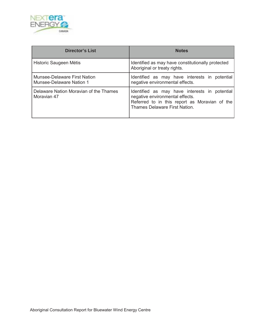

| <b>Director's List</b>                                   | <b>Notes</b>                                                                                                                                                              |  |  |
|----------------------------------------------------------|---------------------------------------------------------------------------------------------------------------------------------------------------------------------------|--|--|
| Historic Saugeen Métis                                   | Identified as may have constitutionally protected<br>Aboriginal or treaty rights.                                                                                         |  |  |
| Munsee-Delaware First Nation<br>Munsee-Delaware Nation 1 | Identified as may have interests in potential<br>negative environmental effects.                                                                                          |  |  |
| Delaware Nation Moravian of the Thames<br>Moravian 47    | Identified as may have interests in potential<br>negative environmental effects.<br>Referred to in this report as Moravian of the<br><b>Thames Delaware First Nation.</b> |  |  |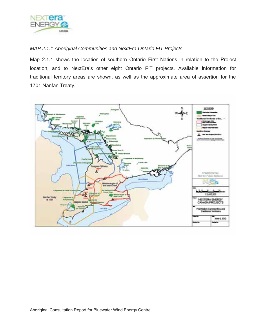

### *MAP 2.1.1 Aboriginal Communities and NextEra Ontario FIT Projects*

Map 2.1.1 shows the location of southern Ontario First Nations in relation to the Project location, and to NextEra's other eight Ontario FIT projects. Available information for traditional territory areas are shown, as well as the approximate area of assertion for the 1701 Nanfan Treaty.

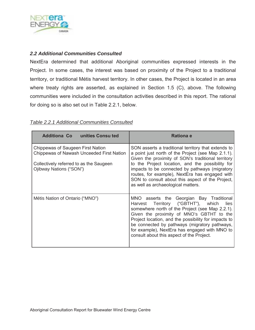

### *2.2 Additional Communities Consulted*

NextEra determined that additional Aboriginal communities expressed interests in the Project. In some cases, the interest was based on proximity of the Project to a traditional territory, or traditional Métis harvest territory. In other cases, the Project is located in an area where treaty rights are asserted, as explained in Section 1.5 (C), above. The following communities were included in the consultation activities described in this report. The rational for doing so is also set out in Table 2.2.1, below.

### *Table 2.2.1 Additional Communities Consulted*

| <b>Additiona Co</b> unities Consu ted                                                                                                                | <b>Rationa e</b>                                                                                                                                                                                                                                                                                                                                                                                                  |  |  |
|------------------------------------------------------------------------------------------------------------------------------------------------------|-------------------------------------------------------------------------------------------------------------------------------------------------------------------------------------------------------------------------------------------------------------------------------------------------------------------------------------------------------------------------------------------------------------------|--|--|
| Chippewas of Saugeen First Nation<br>Chippewas of Nawash Unceeded First Nation<br>Collectively referred to as the Saugeen<br>Ojibway Nations ("SON") | SON asserts a traditional territory that extends to<br>a point just north of the Project (see Map 2.1.1).<br>Given the proximity of SON's traditional territory<br>to the Project location, and the possibility for<br>impacts to be connected by pathways (migratory<br>routes, for example), NextEra has engaged with<br>SON to consult about this aspect of the Project,<br>as well as archaeological matters. |  |  |
| Métis Nation of Ontario ("MNO")                                                                                                                      | MNO asserts the Georgian Bay Traditional<br>Harvest Territory ("GBTHT"), which<br>lies<br>somewhere north of the Project (see Map 2.2.1).<br>Given the proximity of MNO's GBTHT to the<br>Project location, and the possibility for impacts to<br>be connected by pathways (migratory pathways,<br>for example), NextEra has engaged with MNO to<br>consult about this aspect of the Project.                     |  |  |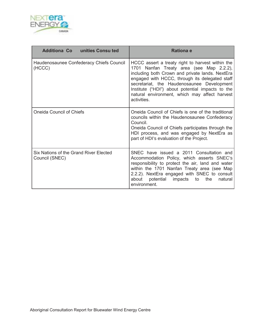

| Additiona Co unities Consu ted                           | Rationa e                                                                                                                                                                                                                                                                                                                                                           |  |
|----------------------------------------------------------|---------------------------------------------------------------------------------------------------------------------------------------------------------------------------------------------------------------------------------------------------------------------------------------------------------------------------------------------------------------------|--|
| Haudenosaunee Confederacy Chiefs Council<br>(HCCC)       | HCCC assert a treaty right to harvest within the<br>1701 Nanfan Treaty area (see Map 2.2.2),<br>including both Crown and private lands. NextEra<br>engaged with HCCC, through its delegated staff<br>secretariat, the Haudenosaunee Development<br>Institute ("HDI") about potential impacts to the<br>natural environment, which may affect harvest<br>activities. |  |
| <b>Oneida Council of Chiefs</b>                          | Oneida Council of Chiefs is one of the traditional<br>councils within the Haudenosaunee Confederacy<br>Council.<br>Oneida Council of Chiefs participates through the<br>HDI process, and was engaged by NextEra as<br>part of HDI's evaluation of the Project.                                                                                                      |  |
| Six Nations of the Grand River Elected<br>Council (SNEC) | SNEC have issued a 2011 Consultation and<br>Accommodation Policy, which asserts SNEC's<br>responsibility to protect the air, land and water<br>within the 1701 Nanfan Treaty area (see Map<br>2.2.2). NextEra engaged with SNEC to consult<br>about potential<br>impacts to<br>the<br>natural<br>environment.                                                       |  |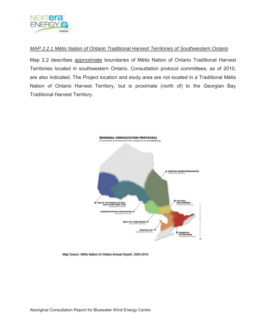

### *MAP 2.2.1 Métis Nation of Ontario Traditional Harvest Territories of Southwestern Ontario*

Map 2.2 describes approximate boundaries of Métis Nation of Ontario Traditional Harvest Territories located in southwestern Ontario. Consultation protocol committees, as of 2010, are also indicated. The Project location and study area are not located in a Traditional Métis Nation of Ontario Harvest Territory, but is proximate (north of) to the Georgian Bay Traditional Harvest Territory.



Map Source: Métis Nation of Ontario Annual Report, 2009-2010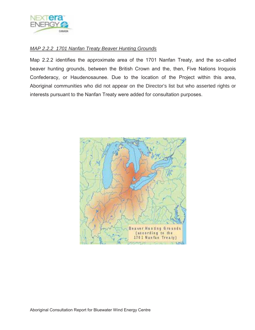

### *MAP 2.2.2 1701 Nanfan Treaty Beaver Hunting Grounds*

Map 2.2.2 identifies the approximate area of the 1701 Nanfan Treaty, and the so-called beaver hunting grounds, between the British Crown and the, then, Five Nations Iroquois Confederacy, or Haudenosaunee. Due to the location of the Project within this area, Aboriginal communities who did not appear on the Director's list but who asserted rights or interests pursuant to the Nanfan Treaty were added for consultation purposes.

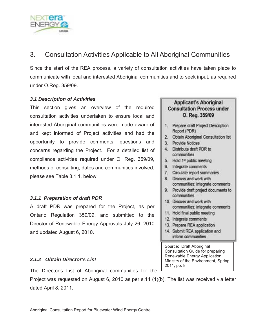

### 3. Consultation Activities Applicable to All Aboriginal Communities

Since the start of the REA process, a variety of consultation activities have taken place to communicate with local and interested Aboriginal communities and to seek input, as required under O.Reg. 359/09.

### *3.1 Description of Activities*

This section gives an overview of the required consultation activities undertaken to ensure local and interested Aboriginal communities were made aware of and kept informed of Project activities and had the opportunity to provide comments, questions and concerns regarding the Project. For a detailed list of compliance activities required under O. Reg. 359/09, methods of consulting, dates and communities involved, please see Table 3.1.1, below.

### *3.1.1 Preparation of draft PDR*

A draft PDR was prepared for the Project, as per Ontario Regulation 359/09, and submitted to the Director of Renewable Energy Approvals July 26, 2010 and updated August 6, 2010.

### *3.1.2 Obtain Director's List*

The Director's List of Aboriginal communities for the

Project was requested on August 6, 2010 as per s.14 (1)(b). The list was received via letter dated April 8, 2011.

### **Applicant's Aboriginal Consultation Process under** O. Reg. 359/09

- 1. Prepare draft Project Description Report (PDR)
- 2. Obtain Aboriginal Consultation list
- 3. Provide Notices
- 4. Distribute draft PDR to communities
- 5. Hold 1<sup>#</sup> public meeting
- 6. Integrate comments
- 7. Circulate report summaries
- 8. Discuss and work with communities; integrate comments
- 9. Provide draft project documents to communities
- 10. Discuss and work with communities; integrate comments
- 11. Hold final public meeting
- 12. Integrate comments
- 13. Prepare REA application
- 14. Submit REA application and inform communities

Source: Draft Aboriginal Consultation Guide for preparing Renewable Energy Application, Ministry of the Environment, Spring 2011, pp. 8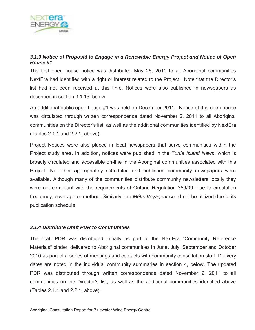

### *3.1.3 Notice of Proposal to Engage in a Renewable Energy Project and Notice of Open House #1*

The first open house notice was distributed May 26, 2010 to all Aboriginal communities NextEra had identified with a right or interest related to the Project. Note that the Director's list had not been received at this time. Notices were also published in newspapers as described in section 3.1.15, below.

An additional public open house #1 was held on December 2011. Notice of this open house was circulated through written correspondence dated November 2, 2011 to all Aboriginal communities on the Director's list, as well as the additional communities identified by NextEra (Tables 2.1.1 and 2.2.1, above).

Project Notices were also placed in local newspapers that serve communities within the Project study area. In addition, notices were published in the *Turtle Island News*, which is broadly circulated and accessible on-line in the Aboriginal communities associated with this Project. No other appropriately scheduled and published community newspapers were available. Although many of the communities distribute community newsletters locally they were not compliant with the requirements of Ontario Regulation 359/09, due to circulation frequency, coverage or method. Similarly, the *Métis Voyageur* could not be utilized due to its publication schedule.

### *3.1.4 Distribute Draft PDR to Communities*

The draft PDR was distributed initially as part of the NextEra "Community Reference Materials" binder, delivered to Aboriginal communities in June, July, September and October 2010 as part of a series of meetings and contacts with community consultation staff. Delivery dates are noted in the individual community summaries in section 4, below. The updated PDR was distributed through written correspondence dated November 2, 2011 to all communities on the Director's list, as well as the additional communities identified above (Tables 2.1.1 and 2.2.1, above).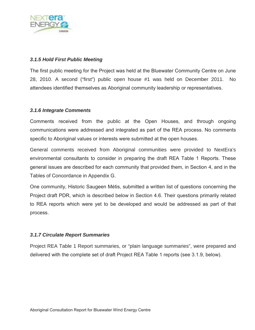

### *3.1.5 Hold First Public Meeting*

The first public meeting for the Project was held at the Bluewater Community Centre on June 28, 2010. A second ("first") public open house #1 was held on December 2011. No attendees identified themselves as Aboriginal community leadership or representatives.

### *3.1.6 Integrate Comments*

Comments received from the public at the Open Houses, and through ongoing communications were addressed and integrated as part of the REA process. No comments specific to Aboriginal values or interests were submitted at the open houses.

General comments received from Aboriginal communities were provided to NextEra's environmental consultants to consider in preparing the draft REA Table 1 Reports. These general issues are described for each community that provided them, in Section 4, and in the Tables of Concordance in Appendix G.

One community, Historic Saugeen Métis, submitted a written list of questions concerning the Project draft PDR, which is described below in Section 4.6. Their questions primarily related to REA reports which were yet to be developed and would be addressed as part of that process.

### *3.1.7 Circulate Report Summaries*

Project REA Table 1 Report summaries, or "plain language summaries", were prepared and delivered with the complete set of draft Project REA Table 1 reports (see 3.1.9, below).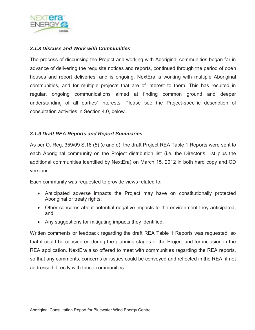

### *3.1.8 Discuss and Work with Communities*

The process of discussing the Project and working with Aboriginal communities began far in advance of delivering the requisite notices and reports, continued through the period of open houses and report deliveries, and is ongoing. NextEra is working with multiple Aboriginal communities, and for multiple projects that are of interest to them. This has resulted in regular, ongoing communications aimed at finding common ground and deeper understanding of all parties' interests. Please see the Project-specific description of consultation activities in Section 4.0, below.

### *3.1.9 Draft REA Reports and Report Summaries*

As per O. Reg. 359/09 S.16 (5) (c and d), the draft Project REA Table 1 Reports were sent to each Aboriginal community on the Project distribution list (i.e. the Director's List plus the additional communities identified by NextEra) on March 15, 2012 in both hard copy and CD versions.

Each community was requested to provide views related to:

- Anticipated adverse impacts the Project may have on constitutionally protected Aboriginal or treaty rights;
- Other concerns about potential negative impacts to the environment they anticipated, and;
- Any suggestions for mitigating impacts they identified.

Written comments or feedback regarding the draft REA Table 1 Reports was requested, so that it could be considered during the planning stages of the Project and for inclusion in the REA application. NextEra also offered to meet with communities regarding the REA reports, so that any comments, concerns or issues could be conveyed and reflected in the REA, if not addressed directly with those communities.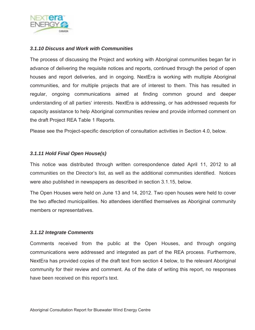

### *3.1.10 Discuss and Work with Communities*

The process of discussing the Project and working with Aboriginal communities began far in advance of delivering the requisite notices and reports, continued through the period of open houses and report deliveries, and in ongoing. NextEra is working with multiple Aboriginal communities, and for multiple projects that are of interest to them. This has resulted in regular, ongoing communications aimed at finding common ground and deeper understanding of all parties' interests. NextEra is addressing, or has addressed requests for capacity assistance to help Aboriginal communities review and provide informed comment on the draft Project REA Table 1 Reports.

Please see the Project-specific description of consultation activities in Section 4.0, below.

### *3.1.11 Hold Final Open House(s)*

This notice was distributed through written correspondence dated April 11, 2012 to all communities on the Director's list, as well as the additional communities identified. Notices were also published in newspapers as described in section 3.1.15, below.

The Open Houses were held on June 13 and 14, 2012. Two open houses were held to cover the two affected municipalities. No attendees identified themselves as Aboriginal community members or representatives.

### *3.1.12 Integrate Comments*

Comments received from the public at the Open Houses, and through ongoing communications were addressed and integrated as part of the REA process. Furthermore, NextEra has provided copies of the draft text from section 4 below, to the relevant Aboriginal community for their review and comment. As of the date of writing this report, no responses have been received on this report's text.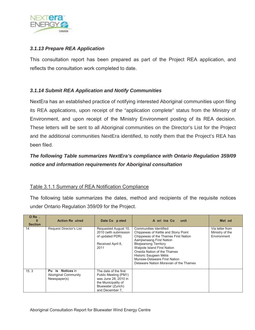

### *3.1.13 Prepare REA Application*

This consultation report has been prepared as part of the Project REA application, and reflects the consultation work completed to date.

### *3.1.14 Submit REA Application and Notify Communities*

NextEra has an established practice of notifying interested Aboriginal communities upon filing its REA applications, upon receipt of the "application complete" status from the Ministry of Environment, and upon receipt of the Ministry Environment posting of its REA decision. These letters will be sent to all Aboriginal communities on the Director's List for the Project and the additional communities NextEra identified, to notify them that the Project's REA has been filed.

### *The following Table summarizes NextEra's compliance with Ontario Regulation 359/09 notice and information requirements for Aboriginal consultation*

### Table 3.1.1 Summary of REA Notification Compliance

The following table summarizes the dates, method and recipients of the requisite notices under Ontario Regulation 359/09 for the Project.

| $O$ Re $.$<br>$\bf{0}$<br><b>Section</b> | <b>Action Re</b> uired                                             | Date Co peted                                                                                                                         | A ori ina Co<br>unit                                                                                                                                                                                                                                                                                                                | Met od                                            |
|------------------------------------------|--------------------------------------------------------------------|---------------------------------------------------------------------------------------------------------------------------------------|-------------------------------------------------------------------------------------------------------------------------------------------------------------------------------------------------------------------------------------------------------------------------------------------------------------------------------------|---------------------------------------------------|
| 14                                       | Request Director's List                                            | Requested August 10,<br>2010 (with submission<br>of updated PDR)<br>Received April 8.<br>2011                                         | Communities Identified:<br>Chippewas of Kettle and Stony Point<br>Chippewas of the Thames First Nation<br>Aamjiwnaang First Nation<br><b>Bkejwanong Territory</b><br>Walpole Island First Nation<br>Oneida Nation of the Thames<br>Historic Saugeen Métis<br>Munsee-Delaware First Nation<br>Delaware Nation Moravian of the Thames | Via letter from<br>Ministry of the<br>Environment |
| 15.3                                     | is Notices in<br>Pu<br><b>Aboriginal Community</b><br>Newspaper(s) | The date of the first<br>Public Meeting (PM1)<br>was June 28, 2010 in<br>the Municipality of<br>Bluewater (Zurich)<br>and December 7. |                                                                                                                                                                                                                                                                                                                                     |                                                   |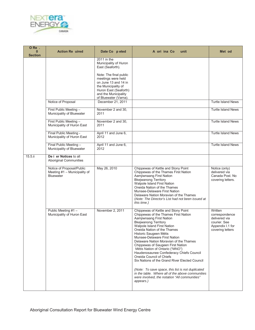

| O Re .<br>$\bf{0}$<br><b>Section</b> | <b>Action Re uired</b>                                                        | Date Co peted                                                                                                                                                                                                                                                                        | A ori ina Co<br>unit                                                                                                                                                                                                                                                                                                                                                                                                                                                                                                                                                                                                                                                              | Met od                                                                                             |
|--------------------------------------|-------------------------------------------------------------------------------|--------------------------------------------------------------------------------------------------------------------------------------------------------------------------------------------------------------------------------------------------------------------------------------|-----------------------------------------------------------------------------------------------------------------------------------------------------------------------------------------------------------------------------------------------------------------------------------------------------------------------------------------------------------------------------------------------------------------------------------------------------------------------------------------------------------------------------------------------------------------------------------------------------------------------------------------------------------------------------------|----------------------------------------------------------------------------------------------------|
|                                      | Notice of Proposal<br>First Public Meeting -<br>Municipality of Bluewater     | 2011 in the<br>Municipality of Huron<br>East (Seaforth).<br>Note: The final public<br>meetings were held<br>on June 13 and 14 in<br>the Municipality of<br>Huron East (Seaforth)<br>and the Municipality<br>of Bluewater (Varna).<br>December 21, 2011<br>November 2 and 30.<br>2011 |                                                                                                                                                                                                                                                                                                                                                                                                                                                                                                                                                                                                                                                                                   | <b>Turtle Island News</b><br><b>Turtle Island News</b>                                             |
|                                      | First Public Meeting -<br>Municipality of Huron East                          | November 2 and 30.<br>2011                                                                                                                                                                                                                                                           |                                                                                                                                                                                                                                                                                                                                                                                                                                                                                                                                                                                                                                                                                   | <b>Turtle Island News</b>                                                                          |
|                                      | Final Public Meeting -<br>Municipality of Huron East                          | April 11 and June 6,<br>2012                                                                                                                                                                                                                                                         |                                                                                                                                                                                                                                                                                                                                                                                                                                                                                                                                                                                                                                                                                   | <b>Turtle Island News</b>                                                                          |
|                                      | Final Public Meeting -<br>Municipality of Bluewater                           | April 11 and June 6,<br>2012                                                                                                                                                                                                                                                         |                                                                                                                                                                                                                                                                                                                                                                                                                                                                                                                                                                                                                                                                                   | <b>Turtle Island News</b>                                                                          |
| $15.5.$ ii                           | De i er Notices to all<br><b>Aboriginal Communities</b>                       |                                                                                                                                                                                                                                                                                      |                                                                                                                                                                                                                                                                                                                                                                                                                                                                                                                                                                                                                                                                                   |                                                                                                    |
|                                      | Notice of Proposal/Public<br>Meeting #1 - Municipality of<br><b>Bluewater</b> | May 26, 2010                                                                                                                                                                                                                                                                         | Chippewas of Kettle and Stony Point<br>Chippewas of the Thames First Nation<br>Aamjiwnaang First Nation<br><b>Bkejwanong Territory</b><br>Walpole Island First Nation<br>Oneida Nation of the Thames<br>Munsee-Delaware First Nation<br>Delaware Nation Moravian of the Thames<br>(Note: The Director's List had not been issued at<br>this time.)                                                                                                                                                                                                                                                                                                                                | Notice (only)<br>delivered via<br>Canada Post. No<br>covering letters.                             |
|                                      | Public Meeting #1 -<br>Municipality of Huron East                             | November 2, 2011                                                                                                                                                                                                                                                                     | Chippewas of Kettle and Stony Point<br>Chippewas of the Thames First Nation<br>Aamjiwnaang First Nation<br><b>Bkejwanong Territory</b><br>Walpole Island First Nation<br>Oneida Nation of the Thames<br>Historic Saugeen Métis<br>Munsee-Delaware First Nation<br>Delaware Nation Moravian of the Thames<br>Chippewas of Saugeen First Nation<br>Métis Nation of Ontario ("MNO")<br>Haudenosaunee Confederacy Chiefs Council<br>Oneida Council of Chiefs<br>Six Nations of the Grand River Elected Council<br>(Note: To save space, this list is not duplicated<br>in the table. Where all of the above communities<br>were involved, the notation "All communities"<br>appears.) | Written<br>correspondence<br>delivered via<br>courier. See<br>Appendix I.1 for<br>covering letters |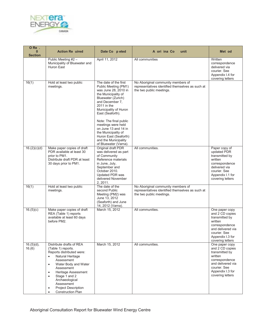

| ORe.<br>$\mathbf{0}$<br><b>Section</b> | <b>Action Re</b> uired                                                                                                                                                                                                                                                                                                                                       | Date Co peted                                                                                                                                                                                                                                                                                                                                     | A ori ina Co<br>unit                                                                                               | Met od                                                                                                                                                        |
|----------------------------------------|--------------------------------------------------------------------------------------------------------------------------------------------------------------------------------------------------------------------------------------------------------------------------------------------------------------------------------------------------------------|---------------------------------------------------------------------------------------------------------------------------------------------------------------------------------------------------------------------------------------------------------------------------------------------------------------------------------------------------|--------------------------------------------------------------------------------------------------------------------|---------------------------------------------------------------------------------------------------------------------------------------------------------------|
|                                        | Public Meeting #2 -<br>Municipality of Bluewater and<br>Huron East                                                                                                                                                                                                                                                                                           | April 11, 2012                                                                                                                                                                                                                                                                                                                                    | All communities                                                                                                    | Written<br>correspondence<br>delivered via<br>courier. See<br>Appendix I.4 for<br>covering letters                                                            |
| 16(1)                                  | Hold at least two public<br>meetings.                                                                                                                                                                                                                                                                                                                        | The date of the first<br>Public Meeting (PM1)<br>was June 28, 2010 in<br>the Municipality of<br>Bluewater (Zurich)<br>and December 7,<br>2011 in the<br>Municipality of Huron<br>East (Seaforth).<br>Note: The final public<br>meetings were held<br>on June 13 and 14 in<br>the Municipality of<br>Huron East (Seaforth)<br>and the Municipality | No Aboriginal community members of<br>representatives identified themselves as such at<br>the two public meetings. |                                                                                                                                                               |
| $\overline{16.(2)(c)(d)}$              | Make paper copies of draft<br>PDR available at least 30<br>prior to PM1.<br>Distribute draft PDR at least<br>30 days prior to PM1.                                                                                                                                                                                                                           | of Bluewater (Varna).<br>Original draft PDR<br>was delivered as part<br>of Community<br>Reference materials<br>in June, July,<br>September and<br>October 2010.<br>Updated PDR was<br>delivered November<br>2, 2011.                                                                                                                              | All communities.                                                                                                   | Paper copy of<br>updated PDR<br>transmitted by<br>written<br>correspondence<br>delivered via<br>courier. See<br>Appendix I.1 for<br>covering letters          |
| 16(1)                                  | Hold at least two public<br>meetings.                                                                                                                                                                                                                                                                                                                        | The date of the<br>second Public<br>Meeting (PM2) was<br>June 13, 2012<br>(Seaforth) and June<br>14, 2012 (Varna).                                                                                                                                                                                                                                | No Aboriginal community members of<br>representatives identified themselves as such at<br>the two public meetings. |                                                                                                                                                               |
| 16.(5)(c)                              | Make paper copies of draft<br>REA (Table 1) reports<br>available at least 60 days<br>before PM2.                                                                                                                                                                                                                                                             | March 15, 2012                                                                                                                                                                                                                                                                                                                                    | All communities.                                                                                                   | One paper copy<br>and 2 CD copies<br>transmitted by<br>written<br>correspondence<br>and delivered via<br>courier. See<br>Appendix I.3 for<br>covering letters |
| $16.(5)(d)$ ,<br>16.(6)                | Distribute drafts of REA<br>(Table 1) reports.<br>Reports distributed were:<br>$\bullet$<br>Natural Heritage<br>Assessment<br>Water Body and Water<br>$\bullet$<br>Assessment<br>Heritage Assessment<br>$\bullet$<br>Stage 1 and 2<br>$\bullet$<br>Archaeological<br>Assessment<br>Project Description<br>$\bullet$<br><b>Construction Plan</b><br>$\bullet$ | March 15, 2012                                                                                                                                                                                                                                                                                                                                    | All communities.                                                                                                   | One paper copy<br>and 2 CD copies<br>transmitted by<br>written<br>correspondence<br>and delivered via<br>courier. See<br>Appendix I.3 for<br>covering letters |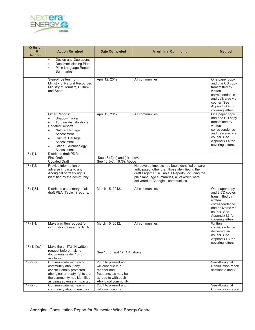

| O Re .<br>$\bf{0}$<br><b>Section</b> | <b>Action Re</b> uired                                                                                                                                                                                                                                                   | Date Co peted                                                                                                                  | A ori ina Co<br>unit                                                                                                                                                                                                                         | Met od                                                                                                                                                         |
|--------------------------------------|--------------------------------------------------------------------------------------------------------------------------------------------------------------------------------------------------------------------------------------------------------------------------|--------------------------------------------------------------------------------------------------------------------------------|----------------------------------------------------------------------------------------------------------------------------------------------------------------------------------------------------------------------------------------------|----------------------------------------------------------------------------------------------------------------------------------------------------------------|
|                                      | Design and Operations<br>$\bullet$<br>Decommissioning Plan<br>$\bullet$<br>Plain Language Report<br>$\bullet$<br>Summaries                                                                                                                                               |                                                                                                                                |                                                                                                                                                                                                                                              |                                                                                                                                                                |
|                                      | Sign-off Letters from:<br>Ministry of Natural Resources<br>Ministry of Tourism, Culture<br>and Sport                                                                                                                                                                     | April 12, 2012                                                                                                                 | All communities.                                                                                                                                                                                                                             | One paper copy<br>and one CD copy<br>transmitted by<br>written<br>correspondence<br>and delivered via<br>courier. See<br>Appendix I.4 for<br>covering letters. |
|                                      | Other Reports:<br><b>Shadow Flicker</b><br>$\bullet$<br><b>Turbine Visualizations</b><br><b>Updated Reports:</b><br>Natural Heritage<br>$\bullet$<br>Assessment<br><b>Cultural Heritage</b><br>$\bullet$<br>Assessment<br>Stage 2 Archaeology<br>$\bullet$<br>Assessment | April 12, 2012                                                                                                                 | All communities.                                                                                                                                                                                                                             | One paper copy<br>and one CD copy<br>transmitted by<br>written<br>correspondence<br>and delivered via<br>courier. See<br>Appendix I.4 for<br>covering letters. |
| 17.(1)1.                             | Distribute draft PDR:<br><b>First Draft</b><br><b>Updated Draft</b>                                                                                                                                                                                                      | See 16.(2)(c) and (d), above.<br>See 16.5(d), 16.(6). Above                                                                    |                                                                                                                                                                                                                                              |                                                                                                                                                                |
| 17.(1)2.                             | Provide information on<br>adverse impacts to any<br>Aboriginal or treaty rights<br>identified by the community.                                                                                                                                                          |                                                                                                                                | No adverse impacts had been identified or were<br>anticipated, other than those identified in the<br>draft Project REA Table 1 Reports, including the<br>plain language summaries, all of which were<br>delivered to Aboriginal communities. |                                                                                                                                                                |
| 17.(1)3.i.                           | Distribute a summary of all<br>draft REA (Table 1) reports.                                                                                                                                                                                                              | March 15, 2012.                                                                                                                | All communities.                                                                                                                                                                                                                             | One paper copy<br>and 2 CD copies<br>transmitted by<br>written<br>correspondence<br>and delivered via<br>courier. See<br>Appendix I.3 for<br>covering letters. |
| 17.(1)4.                             | Make a written request for<br>information relevant to REA.                                                                                                                                                                                                               | March 15, 2012.                                                                                                                | All communities.                                                                                                                                                                                                                             | Written<br>correspondence<br>delivered via<br>courier. See<br>Appendix I.3 for<br>covering letters.                                                            |
| 17.(1.1)(a)                          | Make the s. 17.(1)4 written<br>request before making<br>documents under 16.(5)<br>available.                                                                                                                                                                             | See 16.(5) and 17.(1)4, above.                                                                                                 |                                                                                                                                                                                                                                              |                                                                                                                                                                |
| 17.(2)(a)                            | Communicate with each<br>community about any<br>constitutionally protected<br>aboriginal or treaty rights that<br>the community has identified<br>as being adversely impacted                                                                                            | 2007 to present and<br>will continue in a<br>manner and<br>frequency as may be<br>agreed to with each<br>Aboriginal community. |                                                                                                                                                                                                                                              | See Aboriginal<br>Consultation report,<br>sections 3 and 4.                                                                                                    |
| 17.(2)(b)                            | Communicate with each<br>community about measures                                                                                                                                                                                                                        | 2007 to present and<br>will continue in a                                                                                      |                                                                                                                                                                                                                                              | See Aboriginal<br>Consultation report,                                                                                                                         |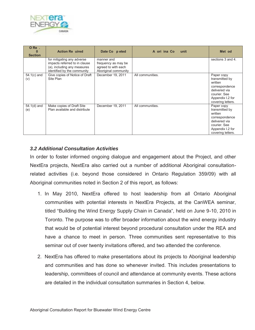

| ORe.<br>n<br><b>Section</b> | <b>Action Re</b> uired                                                                                                    | Date Co p eted                                                                   | A ori ina Co<br>unit | Met od                                                                                                                              |
|-----------------------------|---------------------------------------------------------------------------------------------------------------------------|----------------------------------------------------------------------------------|----------------------|-------------------------------------------------------------------------------------------------------------------------------------|
|                             | for mitigating any adverse<br>impacts referred to in clause<br>(a), including any measures<br>identified by the community | manner and<br>frequency as may be<br>agreed to with each<br>Aboriginal community |                      | sections 3 and 4.                                                                                                                   |
| $54.1(c)$ and<br>(v)        | Give copies of Notice of Draft<br>Site Plan                                                                               | December 19, 2011                                                                | All communities.     | Paper copy<br>transmitted by<br>written<br>correspondence<br>delivered via<br>courier. See<br>Appendix I.2 for<br>covering letters. |
| $54.1(d)$ and<br>(e)        | Make copies of Draft Site<br>Plan available and distribute                                                                | December 19, 2011                                                                | All communities.     | Paper copy<br>transmitted by<br>written<br>correspondence<br>delivered via<br>courier. See<br>Appendix I.2 for<br>covering letters. |

### *3.2 Additional Consultation Activities*

In order to foster informed ongoing dialogue and engagement about the Project, and other NextEra projects, NextEra also carried out a number of additional Aboriginal consultationrelated activities (i.e. beyond those considered in Ontario Regulation 359/09) with all Aboriginal communities noted in Section 2 of this report, as follows:

- 1. In May 2010, NextEra offered to host leadership from all Ontario Aboriginal communities with potential interests in NextEra Projects, at the CanWEA seminar, titled "Building the Wind Energy Supply Chain in Canada", held on June 9-10, 2010 in Toronto. The purpose was to offer broader information about the wind energy industry that would be of potential interest beyond procedural consultation under the REA and have a chance to meet in person. Three communities sent representative to this seminar out of over twenty invitations offered, and two attended the conference.
- 2. NextEra has offered to make presentations about its projects to Aboriginal leadership and communities and has done so whenever invited. This includes presentations to leadership, committees of council and attendance at community events. These actions are detailed in the individual consultation summaries in Section 4, below.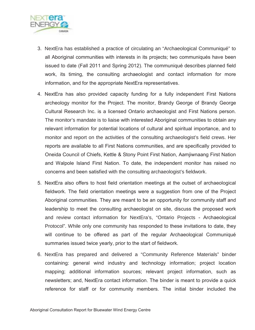

- 3. NextEra has established a practice of circulating an "Archaeological Communiqué" to all Aboriginal communities with interests in its projects; two communiqués have been issued to date (Fall 2011 and Spring 2012). The communiqué describes planned field work, its timing, the consulting archaeologist and contact information for more information, and for the appropriate NextEra representatives.
- 4. NextEra has also provided capacity funding for a fully independent First Nations archeology monitor for the Project. The monitor, Brandy George of Brandy George Cultural Research Inc. is a licensed Ontario archaeologist and First Nations person. The monitor's mandate is to liaise with interested Aboriginal communities to obtain any relevant information for potential locations of cultural and spiritual importance, and to monitor and report on the activities of the consulting archaeologist's field crews. Her reports are available to all First Nations communities, and are specifically provided to Oneida Council of Chiefs, Kettle & Stony Point First Nation, Aamjiwnaang First Nation and Walpole Island First Nation. To date, the independent monitor has raised no concerns and been satisfied with the consulting archaeologist's fieldwork.
- 5. NextEra also offers to host field orientation meetings at the outset of archaeological fieldwork. The field orientation meetings were a suggestion from one of the Project Aboriginal communities. They are meant to be an opportunity for community staff and leadership to meet the consulting archaeologist on site, discuss the proposed work and review contact information for NextEra's, "Ontario Projects - Archaeological Protocol". While only one community has responded to these invitations to date, they will continue to be offered as part of the regular Archaeological Communiqué summaries issued twice yearly, prior to the start of fieldwork.
- 6. NextEra has prepared and delivered a "Community Reference Materials" binder containing: general wind industry and technology information; project location mapping; additional information sources; relevant project information, such as newsletters; and, NextEra contact information. The binder is meant to provide a quick reference for staff or for community members. The initial binder included the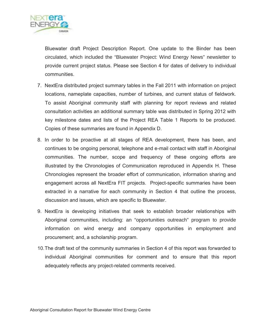

Bluewater draft Project Description Report. One update to the Binder has been circulated, which included the "Bluewater Project: Wind Energy News" newsletter to provide current project status. Please see Section 4 for dates of delivery to individual communities.

- 7. NextEra distributed project summary tables in the Fall 2011 with information on project locations, nameplate capacities, number of turbines, and current status of fieldwork. To assist Aboriginal community staff with planning for report reviews and related consultation activities an additional summary table was distributed in Spring 2012 with key milestone dates and lists of the Project REA Table 1 Reports to be produced. Copies of these summaries are found in Appendix D.
- 8. In order to be proactive at all stages of REA development, there has been, and continues to be ongoing personal, telephone and e-mail contact with staff in Aboriginal communities. The number, scope and frequency of these ongoing efforts are illustrated by the Chronologies of Communication reproduced in Appendix H. These Chronologies represent the broader effort of communication, information sharing and engagement across all NextEra FIT projects. Project-specific summaries have been extracted in a narrative for each community in Section 4 that outline the process, discussion and issues, which are specific to Bluewater.
- 9. NextEra is developing initiatives that seek to establish broader relationships with Aboriginal communities, including: an "opportunities outreach" program to provide information on wind energy and company opportunities in employment and procurement; and, a scholarship program.
- 10. The draft text of the community summaries in Section 4 of this report was forwarded to individual Aboriginal communities for comment and to ensure that this report adequately reflects any project-related comments received.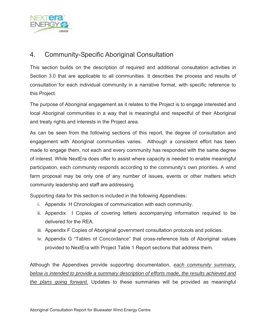

### 4. Community-Specific Aboriginal Consultation

This section builds on the description of required and additional consultation activities in Section 3.0 that are applicable to all communities. It describes the process and results of consultation for each individual community in a narrative format, with specific reference to this Project.

The purpose of Aboriginal engagement as it relates to the Project is to engage interested and local Aboriginal communities in a way that is meaningful and respectful of their Aboriginal and treaty rights and interests in the Project area.

As can be seen from the following sections of this report, the degree of consultation and engagement with Aboriginal communities varies. Although a consistent effort has been made to engage them, not each and every community has responded with the same degree of interest. While NextEra does offer to assist where capacity is needed to enable meaningful participation, each community responds according to the community's own priorities. A wind farm proposal may be only one of any number of issues, events or other matters which community leadership and staff are addressing.

Supporting data for this section is included in the following Appendixes:

- i. Appendix H Chronologies of communication with each community.
- ii. Appendix I Copies of covering letters accompanying information required to be delivered for the REA.
- iii. Appendix F Copies of Aboriginal government consultation protocols and policies.
- iv. Appendix G "Tables of Concordance" that cross-reference lists of Aboriginal values provided to NextEra with Project Table 1 Report sections that address them.

Although the Appendixes provide supporting documentation, *each community summary, below is intended to provide a summary description of efforts made, the results achieved and the plans going forward.* Updates to these summaries will be provided as meaningful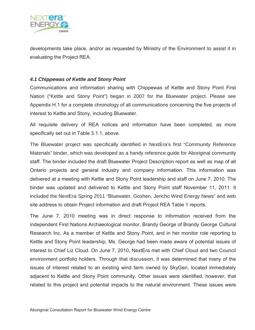

developments take place, and/or as requested by Ministry of the Environment to assist it in evaluating the Project REA.

#### *4.1 Chippewas of Kettle and Stony Point*

Communications and information sharing with Chippewas of Kettle and Stony Point First Nation ("Kettle and Stony Point") began in 2007 for the Bluewater project. Please see Appendix H.1 for a complete chronology of all communications concerning the five projects of interest to Kettle and Stony, including Bluewater.

All requisite delivery of REA notices and information have been completed, as more specifically set out in Table 3.1.1, above.

The Bluewater project was specifically identified in NextEra's first "Community Reference Materials" binder, which was developed as a handy reference guide for Aboriginal community staff. The binder included the draft Bluewater Project Description report as well as map of all Ontario projects and general industry and company information. This information was delivered at a meeting with Kettle and Stony Point leadership and staff on June 7, 2010. The binder was updated and delivered to Kettle and Stony Point staff November 11, 2011. It included the NextEra Spring 2011 "Bluewater, Goshen, Jericho Wind Energy News" and web site address to obtain Project information and draft Project REA Table 1 reports.

The June 7, 2010 meeting was in direct response to information received from the independent First Nations Archaeological monitor, Brandy George of Brandy George Cultural Research Inc. As a member of Kettle and Stony Point, and in her monitor role reporting to Kettle and Stony Point leadership, Ms. George had been made aware of potential issues of interest to Chief Liz Cloud. On June 7, 2010, NextEra met with Chief Cloud and two Council environment portfolio holders. Through that discussion, it was determined that many of the issues of interest related to an existing wind farm owned by SkyGen, located immediately adjacent to Kettle and Stony Point community. Other issues were identified, however, that related to this project and potential impacts to the natural environment. These issues were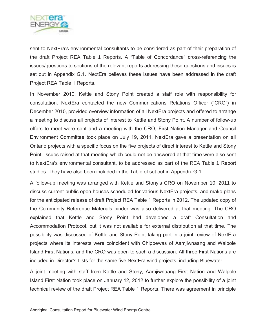

sent to NextEra's environmental consultants to be considered as part of their preparation of the draft Project REA Table 1 Reports. A "Table of Concordance" cross-referencing the issues/questions to sections of the relevant reports addressing these questions and issues is set out in Appendix G.1. NextEra believes these issues have been addressed in the draft Project REA Table 1 Reports.

In November 2010, Kettle and Stony Point created a staff role with responsibility for consultation. NextEra contacted the new Communications Relations Officer ("CRO") in December 2010, provided overview information of all NextEra projects and offered to arrange a meeting to discuss all projects of interest to Kettle and Stony Point. A number of follow-up offers to meet were sent and a meeting with the CRO, First Nation Manager and Council Environment Committee took place on July 19, 2011. NextEra gave a presentation on all Ontario projects with a specific focus on the five projects of direct interest to Kettle and Stony Point. Issues raised at that meeting which could not be answered at that time were also sent to NextEra's environmental consultant, to be addressed as part of the REA Table 1 Report studies. They have also been included in the Table of set out in Appendix G.1.

A follow-up meeting was arranged with Kettle and Stony's CRO on November 10, 2011 to discuss current public open houses scheduled for various NextEra projects, and make plans for the anticipated release of draft Project REA Table 1 Reports in 2012. The updated copy of the Community Reference Materials binder was also delivered at that meeting. The CRO explained that Kettle and Stony Point had developed a draft Consultation and Accommodation Protocol, but it was not available for external distribution at that time. The possibility was discussed of Kettle and Stony Point taking part in a joint review of NextEra projects where its interests were coincident with Chippewas of Aamjiwnaang and Walpole Island First Nations, and the CRO was open to such a discussion. All three First Nations are included in Director's Lists for the same five NextEra wind projects, including Bluewater.

A joint meeting with staff from Kettle and Stony, Aamjiwnaang First Nation and Walpole Island First Nation took place on January 12, 2012 to further explore the possibility of a joint technical review of the draft Project REA Table 1 Reports. There was agreement in principle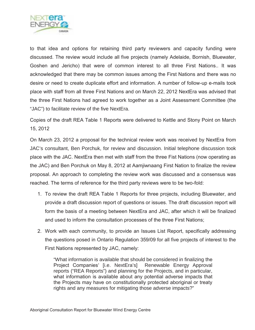

to that idea and options for retaining third party reviewers and capacity funding were discussed. The review would include all five projects (namely Adelaide, Bornish, Bluewater, Goshen and Jericho) that were of common interest to all three First Nations.. It was acknowledged that there may be common issues among the First Nations and there was no desire or need to create duplicate effort and information. A number of follow-up e-mails took place with staff from all three First Nations and on March 22, 2012 NextEra was advised that the three First Nations had agreed to work together as a Joint Assessment Committee (the "JAC") to facilitate review of the five NextEra.

Copies of the draft REA Table 1 Reports were delivered to Kettle and Stony Point on March 15, 2012

On March 23, 2012 a proposal for the technical review work was received by NextEra from JAC's consultant, Ben Porchuk, for review and discussion. Initial telephone discussion took place with the JAC. NextEra then met with staff from the three Fist Nations (now operating as the JAC) and Ben Porchuk on May 8, 2012 at Aamjiwnaang First Nation to finalize the review proposal. An approach to completing the review work was discussed and a consensus was reached. The terms of reference for the third party reviews were to be two-fold:

- 1. To review the draft REA Table 1 Reports for three projects, including Bluewater, and provide a draft discussion report of questions or issues. The draft discussion report will form the basis of a meeting between NextEra and JAC, after which it will be finalized and used to inform the consultation processes of the three First Nations;
- 2. Work with each community, to provide an Issues List Report, specifically addressing the questions posed in Ontario Regulation 359/09 for all five projects of interest to the First Nations represented by JAC, namely:

"What information is available that should be considered in finalizing the Project Companies' [i.e. NextEra's] Renewable Energy Approval reports ("REA Reports") and planning for the Projects, and in particular, what information is available about any potential adverse impacts that the Projects may have on constitutionally protected aboriginal or treaty rights and any measures for mitigating those adverse impacts?"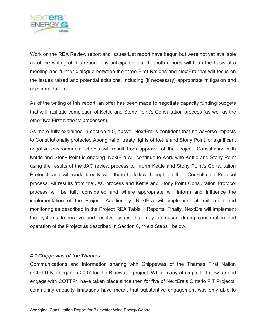

Work on the REA Review report and Issues List report have begun but were not yet available as of the writing of this report. It is anticipated that the both reports will form the basis of a meeting and further dialogue between the three First Nations and NextEra that will focus on the issues raised and potential solutions, including (if necessary) appropriate mitigation and accommodations.

As of the writing of this report, an offer has been made to negotiate capacity funding budgets that will facilitate completion of Kettle and Stony Point's Consultation process (as well as the other two First Nations' processes).

As more fully explained in section 1.5, above, NextEra is confident that no adverse impacts to Constitutionally protected Aboriginal or treaty rights of Kettle and Stony Point, or significant negative environmental effects will result from approval of the Project. Consultation with Kettle and Stony Point is ongoing. NextEra will continue to work with Kettle and Stony Point using the results of the JAC review process to inform Kettle and Stony Point's Consultation Protocol, and will work directly with them to follow through on their Consultation Protocol process. All results from the JAC process and Kettle and Stony Point Consultation Protocol process will be fully considered and where appropriate will inform and influence the implementation of the Project. Additionally, NextEra will implement all mitigation and monitoring as described in the Project REA Table 1 Reports. Finally, NextEra will implement the systems to receive and resolve issues that may be raised during construction and operation of the Project as described in Section 6, "Next Steps", below.

#### *4.2 Chippewas of the Thames*

Communications and information sharing with Chippewas of the Thames First Nation ("COTTFN") began in 2007 for the Bluewater project. While many attempts to follow-up and engage with COTTFN have taken place since then for five of NextEra's Ontario FIT Projects, community capacity limitations have meant that substantive engagement was only able to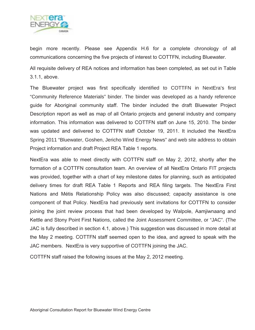

begin more recently. Please see Appendix H.6 for a complete chronology of all communications concerning the five projects of interest to COTTFN, including Bluewater.

All requisite delivery of REA notices and information has been completed, as set out in Table 3.1.1, above.

The Bluewater project was first specifically identified to COTTFN in NextEra's first "Community Reference Materials" binder. The binder was developed as a handy reference guide for Aboriginal community staff. The binder included the draft Bluewater Project Description report as well as map of all Ontario projects and general industry and company information. This information was delivered to COTTFN staff on June 15, 2010. The binder was updated and delivered to COTTFN staff October 19, 2011. It included the NextEra Spring 2011 "Bluewater, Goshen, Jericho Wind Energy News" and web site address to obtain Project information and draft Project REA Table 1 reports.

NextEra was able to meet directly with COTTFN staff on May 2, 2012, shortly after the formation of a COTTFN consultation team. An overview of all NextEra Ontario FIT projects was provided, together with a chart of key milestone dates for planning, such as anticipated delivery times for draft REA Table 1 Reports and REA filing targets. The NextEra First Nations and Métis Relationship Policy was also discussed; capacity assistance is one component of that Policy. NextEra had previously sent invitations for COTTFN to consider joining the joint review process that had been developed by Walpole, Aamjiwnaang and Kettle and Stony Point First Nations, called the Joint Assessment Committee, or "JAC". (The JAC is fully described in section 4.1, above.) This suggestion was discussed in more detail at the May 2 meeting. COTTFN staff seemed open to the idea, and agreed to speak with the JAC members. NextEra is very supportive of COTTFN joining the JAC.

COTTFN staff raised the following issues at the May 2, 2012 meeting.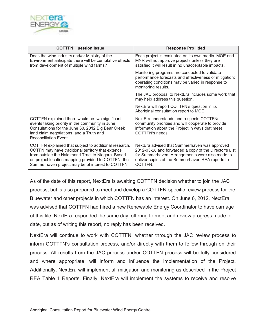

| <b>COTTFN</b><br>uestion Issue                                                                                                                                                                                                                                               | <b>Response Pro ided</b>                                                                                                                                                                                                  |
|------------------------------------------------------------------------------------------------------------------------------------------------------------------------------------------------------------------------------------------------------------------------------|---------------------------------------------------------------------------------------------------------------------------------------------------------------------------------------------------------------------------|
| Does the wind industry and/or Ministry of the<br>Environment anticipate there will be cumulative effects<br>from development of multiple wind farms?                                                                                                                         | Each project is evaluated on its own merits. MOE and<br>MNR will not approve projects unless they are<br>satisfied it will result in no unacceptable impacts.                                                             |
|                                                                                                                                                                                                                                                                              | Monitoring programs are conducted to validate<br>performance forecasts and effectiveness of mitigation;<br>operating conditions may be varied in response to<br>monitoring results.                                       |
|                                                                                                                                                                                                                                                                              | The JAC proposal to NextEra includes some work that<br>may help address this question.                                                                                                                                    |
|                                                                                                                                                                                                                                                                              | NextEra will report COTTFN's question in its<br>Aboriginal consultation report to MOE.                                                                                                                                    |
| COTTFN explained there would be two significant<br>events taking priority in the community in June.<br>Consultations for the June 30, 2012 Big Bear Creek<br>land claim negotiations, and a Truth and<br><b>Reconciliation Event.</b>                                        | NextEra understands and respects COTTFNs<br>community priorities and will cooperate to provide<br>information about the Project in ways that meet<br>COTTFN's needs.                                                      |
| COTTFN explained that subject to additional research,<br>COTFN may have traditional territory that extends<br>from outside the Haldimand Tract to Niagara. Based<br>on project location mapping provided to COTTFN, the<br>Summerhaven project may be of interest to COTTFN. | NextEra advised that Summerhaven was approved<br>2012-03-16 and forwarded a copy of the Director's List<br>for Summerhaven. Arrangements were also made to<br>deliver copies of the Summerhaven REA reports to<br>COTTFN. |

As of the date of this report, NextEra is awaiting COTTFN decision whether to join the JAC process, but is also prepared to meet and develop a COTTFN-specific review process for the Bluewater and other projects in which COTTFN has an interest. On June 6, 2012, NextEra was advised that COTTFN had hired a new Renewable Energy Coordinator to have carriage of this file. NextEra responded the same day, offering to meet and review progress made to date, but as of writing this report, no reply has been received.

NextEra will continue to work with COTTFN, whether through the JAC review process to inform COTTFN's consultation process, and/or directly with them to follow through on their process. All results from the JAC process and/or COTTFN process will be fully considered and where appropriate, will inform and influence the implementation of the Project. Additionally, NextEra will implement all mitigation and monitoring as described in the Project REA Table 1 Reports. Finally, NextEra will implement the systems to receive and resolve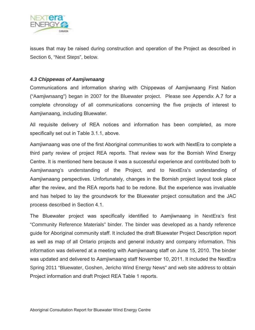

issues that may be raised during construction and operation of the Project as described in Section 6, "Next Steps", below.

#### *4.3 Chippewas of Aamjiwnaang*

Communications and information sharing with Chippewas of Aamjiwnaang First Nation ("Aamjiwnaang") began in 2007 for the Bluewater project. Please see Appendix A.7 for a complete chronology of all communications concerning the five projects of interest to Aamjiwnaang, including Bluewater.

All requisite delivery of REA notices and information has been completed, as more specifically set out in Table 3.1.1, above.

Aamjiwnaang was one of the first Aboriginal communities to work with NextEra to complete a third party review of project REA reports. That review was for the Bornish Wind Energy Centre. It is mentioned here because it was a successful experience and contributed both to Aamjiwnaang's understanding of the Project, and to NextEra's understanding of Aamjiwnaang perspectives. Unfortunately, changes in the Bornish project layout took place after the review, and the REA reports had to be redone. But the experience was invaluable and has helped to lay the groundwork for the Bluewater project consultation and the JAC process described in Section 4.1.

The Bluewater project was specifically identified to Aamjiwnaang in NextEra's first "Community Reference Materials" binder. The binder was developed as a handy reference guide for Aboriginal community staff. It included the draft Bluewater Project Description report as well as map of all Ontario projects and general industry and company information. This information was delivered at a meeting with Aamjiwnaang staff on June 15, 2010. The binder was updated and delivered to Aamjiwnaang staff November 10, 2011. It included the NextEra Spring 2011 "Bluewater, Goshen, Jericho Wind Energy News" and web site address to obtain Project information and draft Project REA Table 1 reports.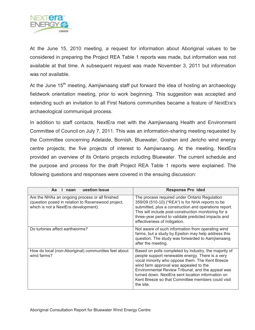

At the June 15, 2010 meeting, a request for information about Aboriginal values to be considered in preparing the Project REA Table 1 reports was made, but information was not available at that time. A subsequent request was made November 3, 2011 but information was not available.

At the June 15<sup>th</sup> meeting, Aamjiwnaang staff put forward the idea of hosting an archaeology fieldwork orientation meeting, prior to work beginning. This suggestion was accepted and extending such an invitation to all First Nations communities became a feature of NextEra's archaeological communiqué process.

In addition to staff contacts, NextEra met with the Aamjiwnaang Health and Environment Committee of Council on July 7, 2011. This was an information-sharing meeting requested by the Committee concerning Adelaide, Bornish, Bluewater, Goshen and Jericho wind energy centre projects; the five projects of interest to Aamjiwnaang. At the meeting, NextEra provided an overview of its Ontario projects including Bluewater. The current schedule and the purpose and process for the draft Project REA Table 1 reports were explained. The following questions and responses were covered in the ensuing discussion:

| uestion Issue<br>Aa<br>naan                                                                                                                   | <b>Response Pro ided</b>                                                                                                                                                                                                                                                                                                                                                           |
|-----------------------------------------------------------------------------------------------------------------------------------------------|------------------------------------------------------------------------------------------------------------------------------------------------------------------------------------------------------------------------------------------------------------------------------------------------------------------------------------------------------------------------------------|
| Are the NHAs an ongoing process or all finished<br>(question posed in relation to Ravenswood project,<br>which is not a NextEra development). | The process required under Ontario Regulation<br>359/09 (510-10) ("REA") is for NHA reports to be<br>submitted, plus a construction and operations report.<br>This will include post-construction monitoring for a<br>three-year period to validate predicted impacts and<br>effectiveness of mitigation.                                                                          |
| Do turbines affect earthworms?                                                                                                                | Not aware of such information from operating wind<br>farms, but a study by Epsilon may help address this<br>question. The study was forwarded to Aamjiwnaang<br>after the meeting.                                                                                                                                                                                                 |
| How do local (non-Aboriginal) communities feel about<br>wind farms?                                                                           | Based on polls completed by industry, the majority of<br>people support renewable energy. There is a very<br>vocal minority who oppose them. The Kent Breeze<br>wind farm approval was appealed to the<br>Environmental Review Tribunal, and the appeal was<br>turned down. NextEra sent location information on<br>Kent Breeze so that Committee members could visit<br>the site. |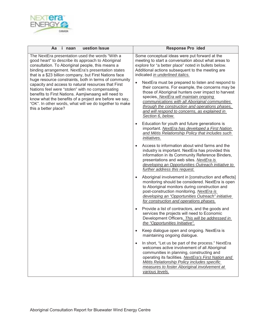

| i naan<br>uestion Issue<br>Aa                                                                                                                                                                                                                                                                                                                                                                                                                                                                                                                                                                                                                   | <b>Response Pro ided</b>                                                                                                                                                                                                                                                                                                                                                                                                                                                                                                                                                                                                                              |  |  |  |
|-------------------------------------------------------------------------------------------------------------------------------------------------------------------------------------------------------------------------------------------------------------------------------------------------------------------------------------------------------------------------------------------------------------------------------------------------------------------------------------------------------------------------------------------------------------------------------------------------------------------------------------------------|-------------------------------------------------------------------------------------------------------------------------------------------------------------------------------------------------------------------------------------------------------------------------------------------------------------------------------------------------------------------------------------------------------------------------------------------------------------------------------------------------------------------------------------------------------------------------------------------------------------------------------------------------------|--|--|--|
| The NextEra presentation used the words "With a<br>good heart" to describe its approach to Aboriginal<br>consultation. To Aboriginal people, this means a<br>binding arrangement. NextEra's presentation states<br>that is a \$23 billion company, but First Nations face<br>huge resource constraints, both in terms of community<br>capacity and access to natural resources that First<br>Nations feel were "stolen" with no compensating<br>benefits to First Nations. Aamjiwnaang will need to<br>know what the benefits of a project are before we say,<br>"OK". In other words, what will we do together to make<br>this a better place? | Some conceptual ideas were put forward at the<br>meeting to start a conversation about what areas to<br>explore for "a better place" noted in bullets below.<br>Additional actions subsequent to the meeting are<br>indicated in underlined italics.<br>NextEra must be prepared to listen and respond to<br>$\bullet$<br>their concerns. For example, the concerns may be<br>those of Aboriginal hunters over impact to harvest<br>species. NextEra will maintain ongoing<br>communications with all Aboriginal communities<br>through the construction and operations phases,<br>and will respond to concerns, as explained in<br>Section 6, below. |  |  |  |
|                                                                                                                                                                                                                                                                                                                                                                                                                                                                                                                                                                                                                                                 | Education for youth and future generations is<br>$\bullet$<br>important. NextEra has developed a First Nation<br>and Métis Relationship Policy that includes such<br><i>initiatives.</i>                                                                                                                                                                                                                                                                                                                                                                                                                                                              |  |  |  |
|                                                                                                                                                                                                                                                                                                                                                                                                                                                                                                                                                                                                                                                 | Access to information about wind farms and the<br>industry is important. NextEra has provided this<br>information in its Community Reference Binders,<br>presentations and web sites. NextEra is<br>developing an Opportunities Outreach initiative to<br>further address this request.                                                                                                                                                                                                                                                                                                                                                               |  |  |  |
|                                                                                                                                                                                                                                                                                                                                                                                                                                                                                                                                                                                                                                                 | Aboriginal involvement in [construction and effects]<br>$\bullet$<br>monitoring should be considered. NextEra is open<br>to Aboriginal monitors during construction and<br>post-construction monitoring. NextEra is<br>developing an "Opportunities Outreach" initiative<br>for construction and operations phases.                                                                                                                                                                                                                                                                                                                                   |  |  |  |
|                                                                                                                                                                                                                                                                                                                                                                                                                                                                                                                                                                                                                                                 | Provide a list of contractors, and the goods and<br>$\bullet$<br>services the projects will need to Economic<br>Development Officers. This will be addressed in<br>the "Opportunities Initiative".                                                                                                                                                                                                                                                                                                                                                                                                                                                    |  |  |  |
|                                                                                                                                                                                                                                                                                                                                                                                                                                                                                                                                                                                                                                                 | Keep dialogue open and ongoing. NextEra is<br>maintaining ongoing dialogue.                                                                                                                                                                                                                                                                                                                                                                                                                                                                                                                                                                           |  |  |  |
|                                                                                                                                                                                                                                                                                                                                                                                                                                                                                                                                                                                                                                                 | In short, "Let us be part of the process." NextEra<br>$\bullet$<br>welcomes active involvement of all Aboriginal<br>communities in planning, constructing and<br>operating its facilities. NextEra's First Nation and<br>Métis Relationship Policy includes specific<br>measures to foster Aboriginal involvement at<br>various levels.                                                                                                                                                                                                                                                                                                               |  |  |  |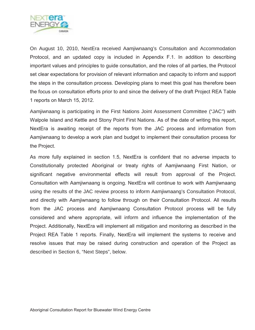

On August 10, 2010, NextEra received Aamjiwnaang's Consultation and Accommodation Protocol, and an updated copy is included in Appendix F.1. In addition to describing important values and principles to guide consultation, and the roles of all parties, the Protocol set clear expectations for provision of relevant information and capacity to inform and support the steps in the consultation process. Developing plans to meet this goal has therefore been the focus on consultation efforts prior to and since the delivery of the draft Project REA Table 1 reports on March 15, 2012.

Aamjiwnaang is participating in the First Nations Joint Assessment Committee ("JAC") with Walpole Island and Kettle and Stony Point First Nations. As of the date of writing this report, NextEra is awaiting receipt of the reports from the JAC process and information from Aamjiwnaang to develop a work plan and budget to implement their consultation process for the Project.

As more fully explained in section 1.5, NextEra is confident that no adverse impacts to Constitutionally protected Aboriginal or treaty rights of Aamjiwnaang First Nation, or significant negative environmental effects will result from approval of the Project. Consultation with Aamjiwnaang is ongoing. NextEra will continue to work with Aamjiwnaang using the results of the JAC review process to inform Aamjiwnaang's Consultation Protocol, and directly with Aamjiwnaang to follow through on their Consultation Protocol. All results from the JAC process and Aamjiwnaang Consultation Protocol process will be fully considered and where appropriate, will inform and influence the implementation of the Project. Additionally, NextEra will implement all mitigation and monitoring as described in the Project REA Table 1 reports. Finally, NextEra will implement the systems to receive and resolve issues that may be raised during construction and operation of the Project as described in Section 6, "Next Steps", below.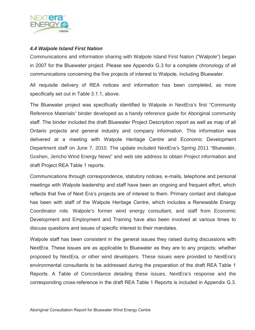

#### *4.4 Walpole Island First Nation*

Communications and information sharing with Walpole Island First Nation ("Walpole") began in 2007 for the Bluewater project. Please see Appendix G.3 for a complete chronology of all communications concerning the five projects of interest to Walpole, including Bluewater.

All requisite delivery of REA notices and information has been completed, as more specifically set out in Table 3.1.1, above.

The Bluewater project was specifically identified to Walpole in NextEra's first "Community Reference Materials" binder developed as a handy reference guide for Aboriginal community staff. The binder included the draft Bluewater Project Description report as well as map of all Ontario projects and general industry and company information. This information was delivered at a meeting with Walpole Heritage Centre and Economic Development Department staff on June 7, 2010. The update included NextEra's Spring 2011 "Bluewater, Goshen, Jericho Wind Energy News" and web site address to obtain Project information and draft Project REA Table 1 reports.

Communications through correspondence, statutory notices, e-mails, telephone and personal meetings with Walpole leadership and staff have been an ongoing and frequent effort, which reflects that five of Next Era's projects are of interest to them. Primary contact and dialogue has been with staff of the Walpole Heritage Centre, which includes a Renewable Energy Coordinator role. Walpole's former wind energy consultant, and staff from Economic Development and Employment and Training have also been involved at various times to discuss questions and issues of specific interest to their mandates.

Walpole staff has been consistent in the general issues they raised during discussions with NextEra. These issues are as applicable to Bluewater as they are to any projects; whether proposed by NextEra, or other wind developers. These issues were provided to NextEra's environmental consultants to be addressed during the preparation of the draft REA Table 1 Reports. A Table of Concordance detailing these issues, NextEra's response and the corresponding cross-reference in the draft REA Table 1 Reports is included in Appendix G.3.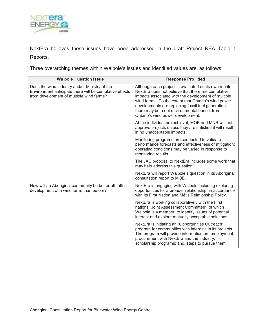

NextEra believes these issues have been addressed in the draft Project REA Table 1 Reports.

Three overarching themes within Walpole's issues and identified values are, as follows:

| uestion Issue<br>Wa po e                                                                                                                             | <b>Response Pro ided</b>                                                                                                                                                                                                                                                                                                                                              |
|------------------------------------------------------------------------------------------------------------------------------------------------------|-----------------------------------------------------------------------------------------------------------------------------------------------------------------------------------------------------------------------------------------------------------------------------------------------------------------------------------------------------------------------|
| Does the wind industry and/or Ministry of the<br>Environment anticipate there will be cumulative effects<br>from development of multiple wind farms? | Although each project is evaluated on its own merits,<br>NextEra does not believe that there are cumulative<br>impacts associated with the development of multiple<br>wind farms. To the extent that Ontario's wind power<br>developments are replacing fossil fuel generation,<br>there may be a net environmental benefit from<br>Ontario's wind power development. |
|                                                                                                                                                      | At the individual project level, MOE and MNR will not<br>approve projects unless they are satisfied it will result<br>in no unacceptable impacts.                                                                                                                                                                                                                     |
|                                                                                                                                                      | Monitoring programs are conducted to validate<br>performance forecasts and effectiveness of mitigation;<br>operating conditions may be varied in response to<br>monitoring results.                                                                                                                                                                                   |
|                                                                                                                                                      | The JAC proposal to NextEra includes some work that<br>may help address this question.                                                                                                                                                                                                                                                                                |
|                                                                                                                                                      | NextEra will report Walpole's question in its Aboriginal<br>consultation report to MOE.                                                                                                                                                                                                                                                                               |
| How will an Aboriginal community be better off, after<br>development of a wind farm, than before?                                                    | NextEra is engaging with Walpole including exploring<br>opportunities for a broader relationship, in accordance<br>with its First Nation and Métis Relationship Policy.                                                                                                                                                                                               |
|                                                                                                                                                      | NextEra is working collaboratively with the First<br>nations "Joint Assessment Committee", of which<br>Walpole is a member, to identify issues of potential<br>interest and explore mutually acceptable solutions.                                                                                                                                                    |
|                                                                                                                                                      | NextEra is initiating an "Opportunities Outreach"<br>program for communities with interests in its projects.<br>The program will provide information on: employment,<br>procurement with NextEra and the industry;<br>scholarship programs; and, steps to pursue them.                                                                                                |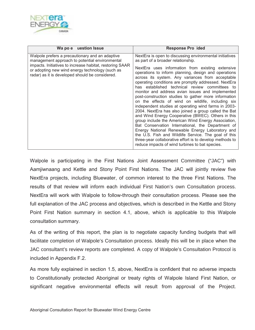

| Wa po e uestion Issue                                                                                                                                                                                                                                               | <b>Response Pro ided</b>                                                                                                                                                                                                                                                                                                                                                                                                                                                                                                                                                                                                                                                                                                                                                                                                                                                                                                                                                                                                                             |
|---------------------------------------------------------------------------------------------------------------------------------------------------------------------------------------------------------------------------------------------------------------------|------------------------------------------------------------------------------------------------------------------------------------------------------------------------------------------------------------------------------------------------------------------------------------------------------------------------------------------------------------------------------------------------------------------------------------------------------------------------------------------------------------------------------------------------------------------------------------------------------------------------------------------------------------------------------------------------------------------------------------------------------------------------------------------------------------------------------------------------------------------------------------------------------------------------------------------------------------------------------------------------------------------------------------------------------|
| Walpole prefers a precautionary and an adaptive<br>management approach to potential environmental<br>impacts. Initiatives to increase habitat, restoring SAAR<br>or adopting new wind energy technology (such as<br>radar) as it is developed should be considered. | NextEra is open to discussing environmental initiatives<br>as part of a broader relationship.<br>NextEra uses information from existing extensive<br>operations to inform planning, design and operations<br>across its system. Any variances from acceptable<br>operating conditions are promptly addressed. NextEra<br>has established technical review committees to<br>monitor and address avian issues and implemented<br>post-construction studies to gather more information<br>on the effects of wind on wildlife, including six<br>independent studies at operating wind farms in 2003-<br>2004. NextEra has also joined a group called the Bat<br>and Wind Energy Cooperative (BWEC). Others in this<br>group include the American Wind Energy Association,<br>Bat Conservation International, the Department of<br>Energy National Renewable Energy Laboratory and<br>the U.S. Fish and Wildlife Service. The goal of this<br>three-year collaborative effort is to develop methods to<br>reduce impacts of wind turbines to bat species. |

Walpole is participating in the First Nations Joint Assessment Committee ("JAC") with Aamjiwnaang and Kettle and Stony Point First Nations. The JAC will jointly review five NextEra projects, including Bluewater, of common interest to the three First Nations. The results of that review will inform each individual First Nation's own Consultation process. NextEra will work with Walpole to follow-through their consultation process. Please see the full explanation of the JAC process and objectives, which is described in the Kettle and Stony Point First Nation summary in section 4.1, above, which is applicable to this Walpole consultation summary.

As of the writing of this report, the plan is to negotiate capacity funding budgets that will facilitate completion of Walpole's Consultation process. Ideally this will be in place when the JAC consultant's review reports are completed. A copy of Walpole's Consultation Protocol is included in Appendix F.2.

As more fully explained in section 1.5, above, NextEra is confident that no adverse impacts to Constitutionally protected Aboriginal or treaty rights of Walpole Island First Nation, or significant negative environmental effects will result from approval of the Project.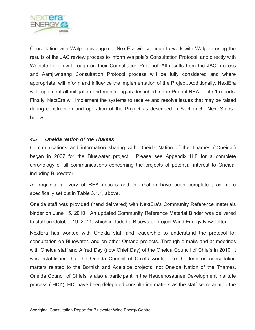

Consultation with Walpole is ongoing. NextEra will continue to work with Walpole using the results of the JAC review process to inform Walpole's Consultation Protocol, and directly with Walpole to follow through on their Consultation Protocol. All results from the JAC process and Aamjiwnaang Consultation Protocol process will be fully considered and where appropriate, will inform and influence the implementation of the Project. Additionally, NextEra will implement all mitigation and monitoring as described in the Project REA Table 1 reports. Finally, NextEra will implement the systems to receive and resolve issues that may be raised during construction and operation of the Project as described in Section 6, "Next Steps", below.

#### *4.5 Oneida Nation of the Thames*

Communications and information sharing with Oneida Nation of the Thames ("Oneida") began in 2007 for the Bluewater project. Please see Appendix H.8 for a complete chronology of all communications concerning the projects of potential interest to Oneida, including Bluewater.

All requisite delivery of REA notices and information have been completed, as more specifically set out in Table 3.1.1, above.

Oneida staff was provided (hand delivered) with NextEra's Community Reference materials binder on June 15, 2010. An updated Community Reference Material Binder was delivered to staff on October 19, 2011, which included a Bluewater project Wind Energy Newsletter.

NextEra has worked with Oneida staff and leadership to understand the protocol for consultation on Bluewater, and on other Ontario projects. Through e-mails and at meetings with Oneida staff and Alfred Day (now Chief Day) of the Oneida Council of Chiefs in 2010, it was established that the Oneida Council of Chiefs would take the lead on consultation matters related to the Bornish and Adelaide projects, not Oneida Nation of the Thames. Oneida Council of Chiefs is also a participant in the Haudenosaunee Development Institute process ("HDI"). HDI have been delegated consultation matters as the staff secretariat to the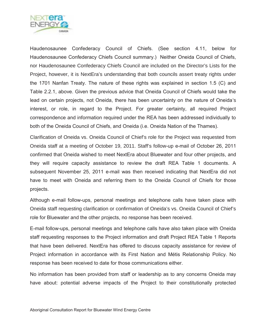

Haudenosaunee Confederacy Council of Chiefs. (See section 4.11, below for Haudenosaunee Confederacy Chiefs Council summary.) Neither Oneida Council of Chiefs, nor Haudenosaunee Confederacy Chiefs Council are included on the Director's Lists for the Project, however, it is NextEra's understanding that both councils assert treaty rights under the 1701 Nanfan Treaty. The nature of these rights was explained in section 1.5 (C) and Table 2.2.1, above. Given the previous advice that Oneida Council of Chiefs would take the lead on certain projects, not Oneida, there has been uncertainty on the nature of Oneida's interest, or role, in regard to the Project. For greater certainty, all required Project correspondence and information required under the REA has been addressed individually to both of the Oneida Council of Chiefs, and Oneida (i.e. Oneida Nation of the Thames).

Clarification of Oneida vs. Oneida Council of Chief's role for the Project was requested from Oneida staff at a meeting of October 19, 2011. Staff's follow-up e-mail of October 26, 2011 confirmed that Oneida wished to meet NextEra about Bluewater and four other projects, and they will require capacity assistance to review the draft REA Table 1 documents. A subsequent November 25, 2011 e-mail was then received indicating that NextEra did not have to meet with Oneida and referring them to the Oneida Council of Chiefs for those projects.

Although e-mail follow-ups, personal meetings and telephone calls have taken place with Oneida staff requesting clarification or confirmation of Oneida's vs. Oneida Council of Chief's role for Bluewater and the other projects, no response has been received.

E-mail follow-ups, personal meetings and telephone calls have also taken place with Oneida staff requesting responses to the Project information and draft Project REA Table 1 Reports that have been delivered. NextEra has offered to discuss capacity assistance for review of Project information in accordance with its First Nation and Métis Relationship Policy. No response has been received to date for those communications either.

No information has been provided from staff or leadership as to any concerns Oneida may have about: potential adverse impacts of the Project to their constitutionally protected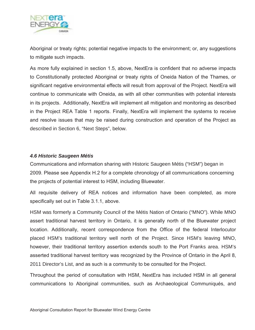

Aboriginal or treaty rights; potential negative impacts to the environment; or, any suggestions to mitigate such impacts.

As more fully explained in section 1.5, above, NextEra is confident that no adverse impacts to Constitutionally protected Aboriginal or treaty rights of Oneida Nation of the Thames, or significant negative environmental effects will result from approval of the Project. NextEra will continue to communicate with Oneida, as with all other communities with potential interests in its projects. Additionally, NextEra will implement all mitigation and monitoring as described in the Project REA Table 1 reports. Finally, NextEra will implement the systems to receive and resolve issues that may be raised during construction and operation of the Project as described in Section 6, "Next Steps", below.

#### *4.6 Historic Saugeen Métis*

Communications and information sharing with Historic Saugeen Métis ("HSM") began in 2009. Please see Appendix H.2 for a complete chronology of all communications concerning the projects of potential interest to HSM, including Bluewater.

All requisite delivery of REA notices and information have been completed, as more specifically set out in Table 3.1.1, above.

HSM was formerly a Community Council of the Métis Nation of Ontario ("MNO"). While MNO assert traditional harvest territory in Ontario, it is generally north of the Bluewater project location. Additionally, recent correspondence from the Office of the federal Interlocutor placed HSM's traditional territory well north of the Project. Since HSM's leaving MNO, however, their traditional territory assertion extends south to the Port Franks area. HSM's asserted traditional harvest territory was recognized by the Province of Ontario in the April 8, 2011 Director's List, and as such is a community to be consulted for the Project.

Throughout the period of consultation with HSM, NextEra has included HSM in all general communications to Aboriginal communities, such as Archaeological Communiqués, and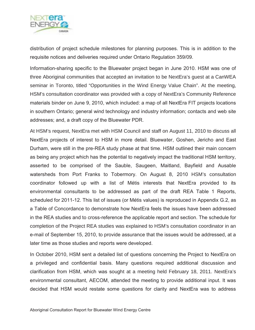

distribution of project schedule milestones for planning purposes. This is in addition to the requisite notices and deliveries required under Ontario Regulation 359/09.

Information-sharing specific to the Bluewater project began in June 2010. HSM was one of three Aboriginal communities that accepted an invitation to be NextEra's guest at a CanWEA seminar in Toronto, titled "Opportunities in the Wind Energy Value Chain". At the meeting, HSM's consultation coordinator was provided with a copy of NextEra's Community Reference materials binder on June 9, 2010, which included: a map of all NextEra FIT projects locations in southern Ontario; general wind technology and industry information; contacts and web site addresses; and, a draft copy of the Bluewater PDR.

At HSM's request, NextEra met with HSM Council and staff on August 11, 2010 to discuss all NextEra projects of interest to HSM in more detail. Bluewater, Goshen, Jericho and East Durham, were still in the pre-REA study phase at that time. HSM outlined their main concern as being any project which has the potential to negatively impact the traditional HSM territory, asserted to be comprised of the Sauble, Saugeen, Maitland, Bayfield and Ausable watersheds from Port Franks to Tobermory. On August 8, 2010 HSM's consultation coordinator followed up with a list of Métis interests that NextEra provided to its environmental consultants to be addressed as part of the draft REA Table 1 Reports, scheduled for 2011-12. This list of issues (or Métis values) is reproduced in Appendix G.2, as a Table of Concordance to demonstrate how NextEra feels the issues have been addressed in the REA studies and to cross-reference the applicable report and section. The schedule for completion of the Project REA studies was explained to HSM's consultation coordinator in an e-mail of September 15, 2010, to provide assurance that the issues would be addressed, at a later time as those studies and reports were developed.

In October 2010, HSM sent a detailed list of questions concerning the Project to NextEra on a privileged and confidential basis. Many questions required additional discussion and clarification from HSM, which was sought at a meeting held February 18, 2011. NextEra's environmental consultant, AECOM, attended the meeting to provide additional input. It was decided that HSM would restate some questions for clarity and NextEra was to address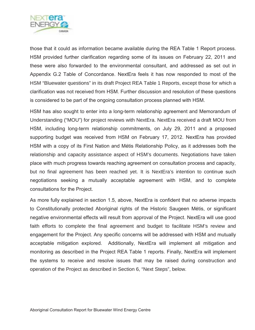

those that it could as information became available during the REA Table 1 Report process. HSM provided further clarification regarding some of its issues on February 22, 2011 and these were also forwarded to the environmental consultant, and addressed as set out in Appendix G.2 Table of Concordance. NextEra feels it has now responded to most of the HSM "Bluewater questions" in its draft Project REA Table 1 Reports, except those for which a clarification was not received from HSM. Further discussion and resolution of these questions is considered to be part of the ongoing consultation process planned with HSM.

HSM has also sought to enter into a long-term relationship agreement and Memorandum of Understanding ("MOU") for project reviews with NextEra. NextEra received a draft MOU from HSM, including long-term relationship commitments, on July 29, 2011 and a proposed supporting budget was received from HSM on February 17, 2012. NextEra has provided HSM with a copy of its First Nation and Métis Relationship Policy, as it addresses both the relationship and capacity assistance aspect of HSM's documents. Negotiations have taken place with much progress towards reaching agreement on consultation process and capacity, but no final agreement has been reached yet. It is NextEra's intention to continue such negotiations seeking a mutually acceptable agreement with HSM, and to complete consultations for the Project.

As more fully explained in section 1.5, above, NextEra is confident that no adverse impacts to Constitutionally protected Aboriginal rights of the Historic Saugeen Métis, or significant negative environmental effects will result from approval of the Project. NextEra will use good faith efforts to complete the final agreement and budget to facilitate HSM's review and engagement for the Project. Any specific concerns will be addressed with HSM and mutually acceptable mitigation explored. Additionally, NextEra will implement all mitigation and monitoring as described in the Project REA Table 1 reports. Finally, NextEra will implement the systems to receive and resolve issues that may be raised during construction and operation of the Project as described in Section 6, "Next Steps", below.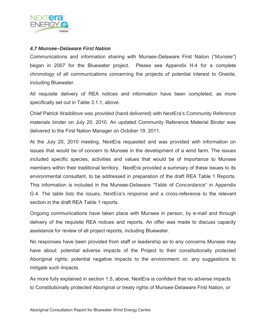

#### *4.7 Munsee–Delaware First Nation*

Communications and information sharing with Munsee-Delaware First Nation ("Munsee") began in 2007 for the Bluewater project. Please see Appendix H.4 for a complete chronology of all communications concerning the projects of potential interest to Oneida, including Bluewater.

All requisite delivery of REA notices and information have been completed, as more specifically set out in Table 3.1.1, above.

Chief Patrick Waddilove was provided (hand delivered) with NextEra's Community Reference materials binder on July 20, 2010. An updated Community Reference Material Binder was delivered to the First Nation Manager on October 19, 2011.

At the July 20, 2010 meeting, NextEra requested and was provided with information on issues that would be of concern to Munsee in the development of a wind farm. The issues included specific species, activities and values that would be of importance to Munsee members within their traditional territory. NextEra provided a summary of these issues to its environmental consultant, to be addressed in preparation of the draft REA Table 1 Reports. This information is included in the Munsee-Delaware "Table of Concordance" in Appendix G.4. The table lists the issues, NextEra's response and a cross-reference to the relevant section in the draft REA Table 1 reports.

Ongoing communications have taken place with Munsee in person, by e-mail and through delivery of the requisite REA notices and reports. An offer was made to discuss capacity assistance for review of all project reports, including Bluewater.

No responses have been provided from staff or leadership as to any concerns Munsee may have about: potential adverse impacts of the Project to their constitutionally protected Aboriginal rights; potential negative impacts to the environment; or, any suggestions to mitigate such impacts.

As more fully explained in section 1.5, above, NextEra is confident that no adverse impacts to Constitutionally protected Aboriginal or treaty rights of Munsee-Delaware First Nation, or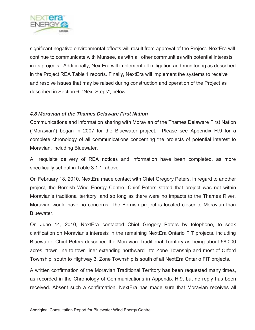

significant negative environmental effects will result from approval of the Project. NextEra will continue to communicate with Munsee, as with all other communities with potential interests in its projects. Additionally, NextEra will implement all mitigation and monitoring as described in the Project REA Table 1 reports. Finally, NextEra will implement the systems to receive and resolve issues that may be raised during construction and operation of the Project as described in Section 6, "Next Steps", below.

#### *4.8 Moravian of the Thames Delaware First Nation*

Communications and information sharing with Moravian of the Thames Delaware First Nation ("Moravian") began in 2007 for the Bluewater project. Please see Appendix H.9 for a complete chronology of all communications concerning the projects of potential interest to Moravian, including Bluewater.

All requisite delivery of REA notices and information have been completed, as more specifically set out in Table 3.1.1, above.

On February 18, 2010, NextEra made contact with Chief Gregory Peters, in regard to another project, the Bornish Wind Energy Centre. Chief Peters stated that project was not within Moravian's traditional territory, and so long as there were no impacts to the Thames River, Moravian would have no concerns. The Bornish project is located closer to Moravian than Bluewater.

On June 14, 2010, NextEra contacted Chief Gregory Peters by telephone, to seek clarification on Moravian's interests in the remaining NextEra Ontario FIT projects, including Bluewater. Chief Peters described the Moravian Traditional Territory as being about 58,000 acres, "town line to town line" extending northward into Zone Township and most of Orford Township, south to Highway 3. Zone Township is south of all NextEra Ontario FIT projects.

A written confirmation of the Moravian Traditional Territory has been requested many times, as recorded in the Chronology of Communications in Appendix H.9, but no reply has been received. Absent such a confirmation, NextEra has made sure that Moravian receives all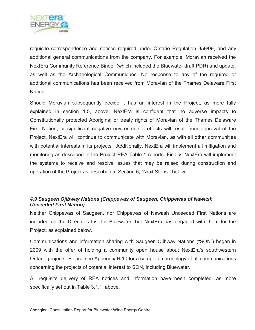

requisite correspondence and notices required under Ontario Regulation 359/09, and any additional general communications from the company. For example, Moravian received the NextEra Community Reference Binder (which included the Bluewater draft PDR) and update, as well as the Archaeological Communiqués. No response to any of the required or additional communications has been received from Moravian of the Thames Delaware First Nation.

Should Moravian subsequently decide it has an interest in the Project, as more fully explained in section 1.5, above, NextEra is confident that no adverse impacts to Constitutionally protected Aboriginal or treaty rights of Moravian of the Thames Delaware First Nation, or significant negative environmental effects will result from approval of the Project. NextEra will continue to communicate with Moravian, as with all other communities with potential interests in its projects. Additionally, NextEra will implement all mitigation and monitoring as described in the Project REA Table 1 reports. Finally, NextEra will implement the systems to receive and resolve issues that may be raised during construction and operation of the Project as described in Section 6, "Next Steps", below.

#### *4.9 Saugeen Ojibway Nations (Chippewas of Saugeen, Chippewas of Nawash Unceeded First Nation)*

Neither Chippewas of Saugeen, nor Chippewas of Nawash Unceeded First Nations are included on the Director's List for Bluewater, but NextEra has engaged with them for the Project, as explained below.

Communications and information sharing with Saugeen Ojibway Nations ("SON") began in 2009 with the offer of holding a community open house about NextEra's southwestern Ontario projects. Please see Appendix H.10 for a complete chronology of all communications concerning the projects of potential interest to SON, including Bluewater.

All requisite delivery of REA notices and information have been completed, as more specifically set out in Table 3.1.1, above.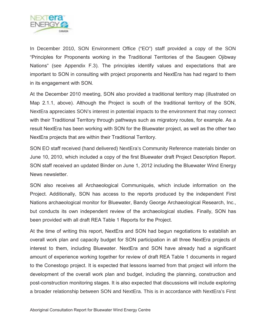

In December 2010, SON Environment Office ("EO") staff provided a copy of the SON "Principles for Proponents working in the Traditional Territories of the Saugeen Ojibway Nations" (see Appendix F.3). The principles identify values and expectations that are important to SON in consulting with project proponents and NextEra has had regard to them in its engagement with SON.

At the December 2010 meeting, SON also provided a traditional territory map (illustrated on Map 2.1.1, above). Although the Project is south of the traditional territory of the SON, NextEra appreciates SON's interest in potential impacts to the environment that may connect with their Traditional Territory through pathways such as migratory routes, for example. As a result NextEra has been working with SON for the Bluewater project, as well as the other two NextEra projects that are within their Traditional Territory.

SON EO staff received (hand delivered) NextEra's Community Reference materials binder on June 10, 2010, which included a copy of the first Bluewater draft Project Description Report. SON staff received an updated Binder on June 1, 2012 including the Bluewater Wind Energy News newsletter.

SON also receives all Archaeological Communiqués, which include information on the Project. Additionally, SON has access to the reports produced by the independent First Nations archaeological monitor for Bluewater, Bandy George Archaeological Research, Inc., but conducts its own independent review of the archaeological studies. Finally, SON has been provided with all draft REA Table 1 Reports for the Project.

At the time of writing this report, NextEra and SON had begun negotiations to establish an overall work plan and capacity budget for SON participation in all three NextEra projects of interest to them, including Bluewater. NextEra and SON have already had a significant amount of experience working together for review of draft REA Table 1 documents in regard to the Conestogo project. It is expected that lessons learned from that project will inform the development of the overall work plan and budget, including the planning, construction and post-construction monitoring stages. It is also expected that discussions will include exploring a broader relationship between SON and NextEra. This is in accordance with NextEra's First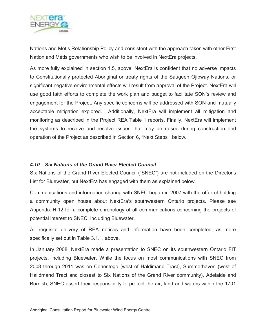

Nations and Métis Relationship Policy and consistent with the approach taken with other First Nation and Métis governments who wish to be involved in NextEra projects.

As more fully explained in section 1.5, above, NextEra is confident that no adverse impacts to Constitutionally protected Aboriginal or treaty rights of the Saugeen Ojibway Nations, or significant negative environmental effects will result from approval of the Project. NextEra will use good faith efforts to complete the work plan and budget to facilitate SON's review and engagement for the Project. Any specific concerns will be addressed with SON and mutually acceptable mitigation explored. Additionally, NextEra will implement all mitigation and monitoring as described in the Project REA Table 1 reports. Finally, NextEra will implement the systems to receive and resolve issues that may be raised during construction and operation of the Project as described in Section 6, "Next Steps", below.

#### *4.10 Six Nations of the Grand River Elected Council*

Six Nations of the Grand River Elected Council ("SNEC") are not included on the Director's List for Bluewater, but NextEra has engaged with them as explained below.

Communications and information sharing with SNEC began in 2007 with the offer of holding a community open house about NextEra's southwestern Ontario projects. Please see Appendix H.12 for a complete chronology of all communications concerning the projects of potential interest to SNEC, including Bluewater.

All requisite delivery of REA notices and information have been completed, as more specifically set out in Table 3.1.1, above.

In January 2008, NextEra made a presentation to SNEC on its southwestern Ontario FIT projects, including Bluewater. While the focus on most communications with SNEC from 2008 through 2011 was on Conestogo (west of Haldimand Tract), Summerhaven (west of Halidmand Tract and closest to Six Nations of the Grand River community), Adelaide and Bornish, SNEC assert their responsibility to protect the air, land and waters within the 1701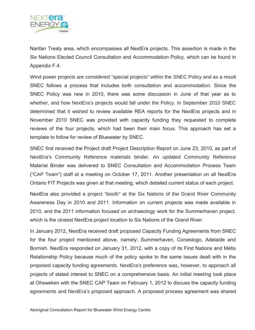

Nanfan Treaty area, which encompasses all NextEra projects. This assertion is made in the Six Nations Elected Council Consultation and Accommodation Policy, which can be found in Appendix F.4.

Wind power projects are considered "special projects" within the SNEC Policy and as a result SNEC follows a process that includes both consultation and accommodation. Since the SNEC Policy was new in 2010, there was some discussion in June of that year as to whether, and how NextEra's projects would fall under the Policy. In September 2010 SNEC determined that it wished to review available REA reports for the NextEra projects and in November 2010 SNEC was provided with capacity funding they requested to complete reviews of the four projects, which had been their main focus. This approach has set a template to follow for review of Bluewater by SNEC.

SNEC first received the Project draft Project Description Report on June 23, 2010, as part of NextEra's Community Reference materials binder. An updated Community Reference Material Binder was delivered to SNEC Consultation and Accommodation Process Team ("CAP Team") staff at a meeting on October 17, 2011. Another presentation on all NextEra Ontario FIT Projects was given at that meeting, which detailed current status of each project.

NextEra also provided a project "booth" at the Six Nations of the Grand River Community Awareness Day in 2010 and 2011. Information on current projects was made available in 2010, and the 2011 information focused on archaeology work for the Summerhaven project, which is the closest NextEra project location to Six Nations of the Grand River.

In January 2012, NextEra received draft proposed Capacity Funding Agreements from SNEC for the four project mentioned above, namely: Summerhaven, Conestogo, Adelaide and Bornish. NextEra responded on January 31, 2012, with a copy of its First Nations and Métis Relationship Policy because much of the policy spoke to the same issues dealt with in the proposed capacity funding agreements. NextEra's preference was, however, to approach all projects of stated interest to SNEC on a comprehensive basis. An initial meeting took place at Ohsweken with the SNEC CAP Team on February 1, 2012 to discuss the capacity funding agreements and NextEra's proposed approach. A proposed process agreement was shared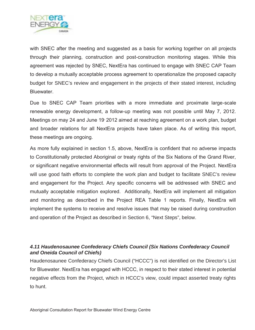

with SNEC after the meeting and suggested as a basis for working together on all projects through their planning, construction and post-construction monitoring stages. While this agreement was rejected by SNEC, NextEra has continued to engage with SNEC CAP Team to develop a mutually acceptable process agreement to operationalize the proposed capacity budget for SNEC's review and engagement in the projects of their stated interest, including Bluewater.

Due to SNEC CAP Team priorities with a more immediate and proximate large-scale renewable energy development, a follow-up meeting was not possible until May 7, 2012. Meetings on may 24 and June 19 2012 aimed at reaching agreement on a work plan, budget and broader relations for all NextEra projects have taken place. As of writing this report, these meetings are ongoing.

As more fully explained in section 1.5, above, NextEra is confident that no adverse impacts to Constitutionally protected Aboriginal or treaty rights of the Six Nations of the Grand River, or significant negative environmental effects will result from approval of the Project. NextEra will use good faith efforts to complete the work plan and budget to facilitate SNEC's review and engagement for the Project. Any specific concerns will be addressed with SNEC and mutually acceptable mitigation explored. Additionally, NextEra will implement all mitigation and monitoring as described in the Project REA Table 1 reports. Finally, NextEra will implement the systems to receive and resolve issues that may be raised during construction and operation of the Project as described in Section 6, "Next Steps", below.

#### *4.11 Haudenosaunee Confederacy Chiefs Council (Six Nations Confederacy Council and Oneida Council of Chiefs)*

Haudenosaunee Confederacy Chiefs Council ("HCCC") is not identified on the Director's List for Bluewater. NextEra has engaged with HCCC, in respect to their stated interest in potential negative effects from the Project, which in HCCC's view, could impact asserted treaty rights to hunt.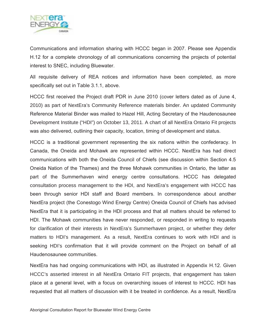

Communications and information sharing with HCCC began in 2007. Please see Appendix H.12 for a complete chronology of all communications concerning the projects of potential interest to SNEC, including Bluewater.

All requisite delivery of REA notices and information have been completed, as more specifically set out in Table 3.1.1, above.

HCCC first received the Project draft PDR in June 2010 (cover letters dated as of June 4, 2010) as part of NextEra's Community Reference materials binder. An updated Community Reference Material Binder was mailed to Hazel Hill, Acting Secretary of the Haudenosaunee Development Institute ("HDI") on October 13, 2011. A chart of all NextEra Ontario Fit projects was also delivered, outlining their capacity, location, timing of development and status.

HCCC is a traditional government representing the six nations within the confederacy. In Canada, the Oneida and Mohawk are represented within HCCC. NextEra has had direct communications with both the Oneida Council of Chiefs (see discussion within Section 4.5 Oneida Nation of the Thames) and the three Mohawk communities in Ontario, the latter as part of the Summerhaven wind energy centre consultations. HCCC has delegated consultation process management to the HDI, and NextEra's engagement with HCCC has been through senior HDI staff and Board members. In correspondence about another NextEra project (the Conestogo Wind Energy Centre) Oneida Council of Chiefs has advised NextEra that it is participating in the HDI process and that all matters should be referred to HDI. The Mohawk communities have never responded, or responded in writing to requests for clarification of their interests in NextEra's Summerhaven project, or whether they defer matters to HDI's management. As a result, NextEra continues to work with HDI and is seeking HDI's confirmation that it will provide comment on the Project on behalf of all Haudenosaunee communities.

NextEra has had ongoing communications with HDI, as illustrated in Appendix H.12. Given HCCC's asserted interest in all NextEra Ontario FIT projects, that engagement has taken place at a general level, with a focus on overarching issues of interest to HCCC. HDI has requested that all matters of discussion with it be treated in confidence. As a result, NextEra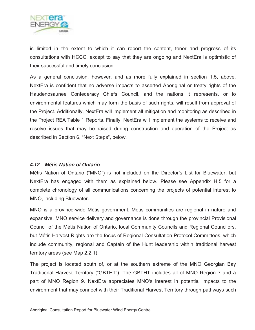

is limited in the extent to which it can report the content, tenor and progress of its consultations with HCCC, except to say that they are ongoing and NextEra is optimistic of their successful and timely conclusion.

As a general conclusion, however, and as more fully explained in section 1.5, above, NextEra is confident that no adverse impacts to asserted Aboriginal or treaty rights of the Haudenosaunee Confederacy Chiefs Council, and the nations it represents, or to environmental features which may form the basis of such rights, will result from approval of the Project. Additionally, NextEra will implement all mitigation and monitoring as described in the Project REA Table 1 Reports. Finally, NextEra will implement the systems to receive and resolve issues that may be raised during construction and operation of the Project as described in Section 6, "Next Steps", below.

#### *4.12 Métis Nation of Ontario*

Métis Nation of Ontario ("MNO") is not included on the Director's List for Bluewater, but NextEra has engaged with them as explained below. Please see Appendix H.5 for a complete chronology of all communications concerning the projects of potential interest to MNO, including Bluewater.

MNO is a province-wide Métis government. Métis communities are regional in nature and expansive. MNO service delivery and governance is done through the provincial Provisional Council of the Métis Nation of Ontario, local Community Councils and Regional Councilors, but Métis Harvest Rights are the focus of Regional Consultation Protocol Committees, which include community, regional and Captain of the Hunt leadership within traditional harvest territory areas (see Map 2.2.1).

The project is located south of, or at the southern extreme of the MNO Georgian Bay Traditional Harvest Territory ("GBTHT"). The GBTHT includes all of MNO Region 7 and a part of MNO Region 9. NextEra appreciates MNO's interest in potential impacts to the environment that may connect with their Traditional Harvest Territory through pathways such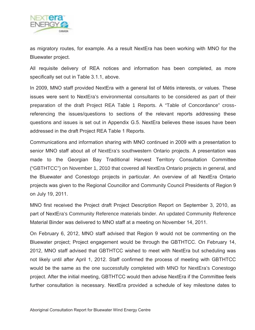

as migratory routes, for example. As a result NextEra has been working with MNO for the Bluewater project.

All requisite delivery of REA notices and information has been completed, as more specifically set out in Table 3.1.1, above.

In 2009, MNO staff provided NextEra with a general list of Métis interests, or values. These issues were sent to NextEra's environmental consultants to be considered as part of their preparation of the draft Project REA Table 1 Reports. A "Table of Concordance" crossreferencing the issues/questions to sections of the relevant reports addressing these questions and issues is set out in Appendix G.5. NextEra believes these issues have been addressed in the draft Project REA Table 1 Reports.

Communications and information sharing with MNO continued in 2009 with a presentation to senior MNO staff about all of NextEra's southwestern Ontario projects. A presentation was made to the Georgian Bay Traditional Harvest Territory Consultation Committee ("GBTHTCC") on November 1, 2010 that covered all NextEra Ontario projects in general, and the Bluewater and Conestogo projects in particular. An overview of all NextEra Ontario projects was given to the Regional Councillor and Community Council Presidents of Region 9 on July 19, 2011.

MNO first received the Project draft Project Description Report on September 3, 2010, as part of NextEra's Community Reference materials binder. An updated Community Reference Material Binder was delivered to MNO staff at a meeting on November 14, 2011.

On February 6, 2012, MNO staff advised that Region 9 would not be commenting on the Bluewater project; Project engagement would be through the GBTHTCC. On February 14, 2012, MNO staff advised that GBTHTCC wished to meet with NextEra but scheduling was not likely until after April 1, 2012. Staff confirmed the process of meeting with GBTHTCC would be the same as the one successfully completed with MNO for NextEra's Conestogo project. After the initial meeting, GBTHTCC would then advise NextEra if the Committee feels further consultation is necessary. NextEra provided a schedule of key milestone dates to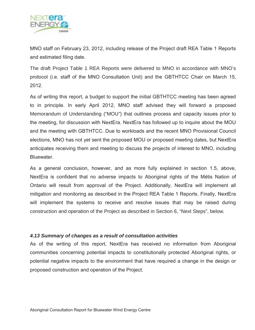

MNO staff on February 23, 2012, including release of the Project draft REA Table 1 Reports and estimated filing date.

The draft Project Table 1 REA Reports were delivered to MNO in accordance with MNO's protocol (i.e. staff of the MNO Consultation Unit) and the GBTHTCC Chair on March 15, 2012.

As of writing this report, a budget to support the initial GBTHTCC meeting has been agreed to in principle. In early April 2012, MNO staff advised they will forward a proposed Memorandum of Understanding ("MOU") that outlines process and capacity issues prior to the meeting, for discussion with NextEra. NextEra has followed up to inquire about the MOU and the meeting with GBTHTCC. Due to workloads and the recent MNO Provisional Council elections, MNO has not yet sent the proposed MOU or proposed meeting dates, but NextEra anticipates receiving them and meeting to discuss the projects of interest to MNO, including Bluewater.

As a general conclusion, however, and as more fully explained in section 1.5, above, NextEra is confident that no adverse impacts to Aboriginal rights of the Métis Nation of Ontario will result from approval of the Project. Additionally, NextEra will implement all mitigation and monitoring as described in the Project REA Table 1 Reports. Finally, NextEra will implement the systems to receive and resolve issues that may be raised during construction and operation of the Project as described in Section 6, "Next Steps", below.

#### *4.13 Summary of changes as a result of consultation activities*

As of the writing of this report, NextEra has received no information from Aboriginal communities concerning potential impacts to constitutionally protected Aboriginal rights, or potential negative impacts to the environment that have required a change in the design or proposed construction and operation of the Project.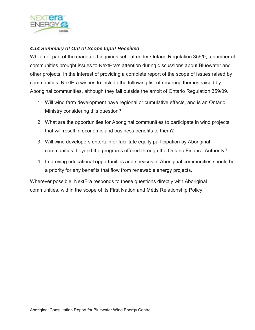

#### *4.14 Summary of Out of Scope Input Received*

While not part of the mandated inquiries set out under Ontario Regulation 359/0, a number of communities brought issues to NextEra's attention during discussions about Bluewater and other projects. In the interest of providing a complete report of the scope of issues raised by communities, NextEra wishes to include the following list of recurring themes raised by Aboriginal communities, although they fall outside the ambit of Ontario Regulation 359/09.

- 1. Will wind farm development have regional or cumulative effects, and is an Ontario Ministry considering this question?
- 2. What are the opportunities for Aboriginal communities to participate in wind projects that will result in economic and business benefits to them?
- 3. Will wind developers entertain or facilitate equity participation by Aboriginal communities, beyond the programs offered through the Ontario Finance Authority?
- 4. Improving educational opportunities and services in Aboriginal communities should be a priority for any benefits that flow from renewable energy projects.

Wherever possible, NextEra responds to these questions directly with Aboriginal communities, within the scope of its First Nation and Métis Relationship Policy.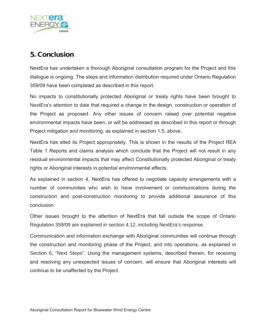

## **5. Conclusion**

NextEra has undertaken a thorough Aboriginal consultation program for the Project and this dialogue is ongoing. The steps and information distribution required under Ontario Regulation 359/09 have been completed as described in this report.

No impacts to constitutionally protected Aboriginal or treaty rights have been brought to NextEra's attention to date that required a change in the design, construction or operation of the Project as proposed. Any other issues of concern raised over potential negative environmental impacts have been, or will be addressed as described in this report or through Project mitigation and monitoring, as explained in section 1.5, above.

NextEra has sited its Project appropriately. This is shown in the results of the Project REA Table 1 Reports and claims analysis which conclude that the Project will not result in any residual environmental impacts that may affect Constitutionally protected Aboriginal or treaty rights or Aboriginal interests in potential environmental effects.

As explained in section 4, NextEra has offered to negotiate capacity arrangements with a number of communities who wish to have involvement or communications during the construction and post-construction monitoring to provide additional assurance of this conclusion.

Other issues brought to the attention of NextEra that fall outside the scope of Ontario Regulation 359/09 are explained in section 4.12, including NextEra's response.

Communication and information exchange with Aboriginal communities will continue through the construction and monitoring phase of the Project, and into operations, as explained in Section 6, "Next Steps". Using the management systems, described therein, for receiving and resolving any unexpected issues of concern, will ensure that Aboriginal interests will continue to be unaffected by the Project.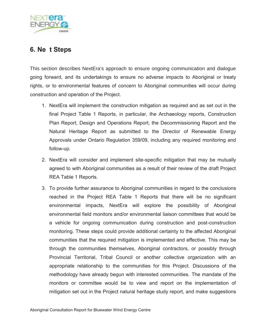

### **6. Ne t Steps**

This section describes NextEra's approach to ensure ongoing communication and dialogue going forward, and its undertakings to ensure no adverse impacts to Aboriginal or treaty rights, or to environmental features of concern to Aboriginal communities will occur during construction and operation of the Project.

- 1. NextEra will implement the construction mitigation as required and as set out in the final Project Table 1 Reports, in particular, the Archaeology reports, Construction Plan Report, Design and Operations Report, the Decommissioning Report and the Natural Heritage Report as submitted to the Director of Renewable Energy Approvals under Ontario Regulation 359/09, including any required monitoring and follow-up.
- 2. NextEra will consider and implement site-specific mitigation that may be mutually agreed to with Aboriginal communities as a result of their review of the draft Project REA Table 1 Reports.
- 3. To provide further assurance to Aboriginal communities in regard to the conclusions reached in the Project REA Table 1 Reports that there will be no significant environmental impacts, NextEra will explore the possibility of Aboriginal environmental field monitors and/or environmental liaison committees that would be a vehicle for ongoing communication during construction and post-construction monitoring. These steps could provide additional certainty to the affected Aboriginal communities that the required mitigation is implemented and effective. This may be through the communities themselves, Aboriginal contractors, or possibly through Provincial Territorial, Tribal Council or another collective organization with an appropriate relationship to the communities for this Project. Discussions of the methodology have already begun with interested communities. The mandate of the monitors or committee would be to view and report on the implementation of mitigation set out in the Project natural heritage study report, and make suggestions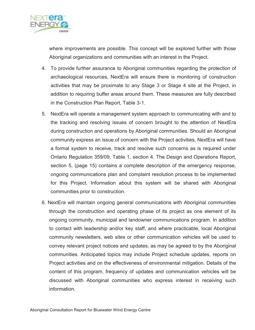

where improvements are possible. This concept will be explored further with those Aboriginal organizations and communities with an interest in the Project.

- 4. To provide further assurance to Aboriginal communities regarding the protection of archaeological resources, NextEra will ensure there is monitoring of construction activities that may be proximate to any Stage 3 or Stage 4 site at the Project, in addition to requiring buffer areas around them. These measures are fully described in the Construction Plan Report, Table 3-1.
- 5. NextEra will operate a management system approach to communicating with and to the tracking and resolving issues of concern brought to the attention of NextEra during construction and operations by Aboriginal communities. Should an Aboriginal community express an issue of concern with the Project activities, NextEra will have a formal system to receive, track and resolve such concerns as is required under Ontario Regulation 359/09, Table 1, section 4. The Design and Operations Report, section 5, (page 15) contains a complete description of the emergency response, ongoing communications plan and complaint resolution process to be implemented for this Project. Information about this system will be shared with Aboriginal communities prior to construction.
- 6. NextEra will maintain ongoing general communications with Aboriginal communities through the construction and operating phase of its project as one element of its ongoing community, municipal and landowner communications program. In addition to contact with leadership and/or key staff, and where practicable, local Aboriginal community newsletters, web sites or other communication vehicles will be used to convey relevant project notices and updates, as may be agreed to by the Aboriginal communities. Anticipated topics may include Project schedule updates, reports on Project activities and on the effectiveness of environmental mitigation. Details of the content of this program, frequency of updates and communication vehicles will be discussed with Aboriginal communities who express interest in receiving such information.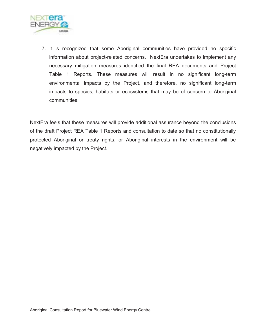

7. It is recognized that some Aboriginal communities have provided no specific information about project-related concerns. NextEra undertakes to implement any necessary mitigation measures identified the final REA documents and Project Table 1 Reports. These measures will result in no significant long-term environmental impacts by the Project, and therefore, no significant long-term impacts to species, habitats or ecosystems that may be of concern to Aboriginal communities.

NextEra feels that these measures will provide additional assurance beyond the conclusions of the draft Project REA Table 1 Reports and consultation to date so that no constitutionally protected Aboriginal or treaty rights, or Aboriginal interests in the environment will be negatively impacted by the Project.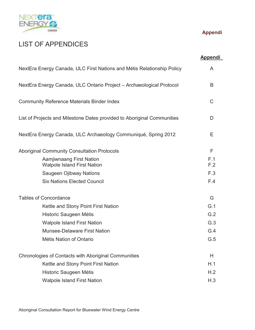

# LIST OF APPENDICES

### **Appendi**

|                                                                         | <b>Appendi</b> |
|-------------------------------------------------------------------------|----------------|
| NextEra Energy Canada, ULC First Nations and Métis Relationship Policy  | A              |
| NextEra Energy Canada, ULC Ontario Project - Archaeological Protocol    | B              |
| <b>Community Reference Materials Binder Index</b>                       | C              |
| List of Projects and Milestone Dates provided to Aboriginal Communities | D              |
| NextEra Energy Canada, ULC Archaeology Communiqué, Spring 2012          | Е              |
| <b>Aboriginal Community Consultation Protocols</b>                      | F              |
| Aamjiwnaang First Nation<br><b>Walpole Island First Nation</b>          | F.1<br>F.2     |
| <b>Saugeen Ojibway Nations</b>                                          | F.3            |
| <b>Six Nations Elected Council</b>                                      | F.4            |
| <b>Tables of Concordance</b>                                            | G              |
| Kettle and Stony Point First Nation                                     | G.1            |
| Historic Saugeen Métis                                                  | G.2            |
| <b>Walpole Island First Nation</b>                                      | G.3            |
| <b>Munsee-Delaware First Nation</b>                                     | G.4            |
| Métis Nation of Ontario                                                 | G.5            |
| Chronologies of Contacts with Aboriginal Communities                    | Н              |
| Kettle and Stony Point First Nation                                     | H.1            |
| Historic Saugeen Métis                                                  | H.2            |
| <b>Walpole Island First Nation</b>                                      | H.3            |